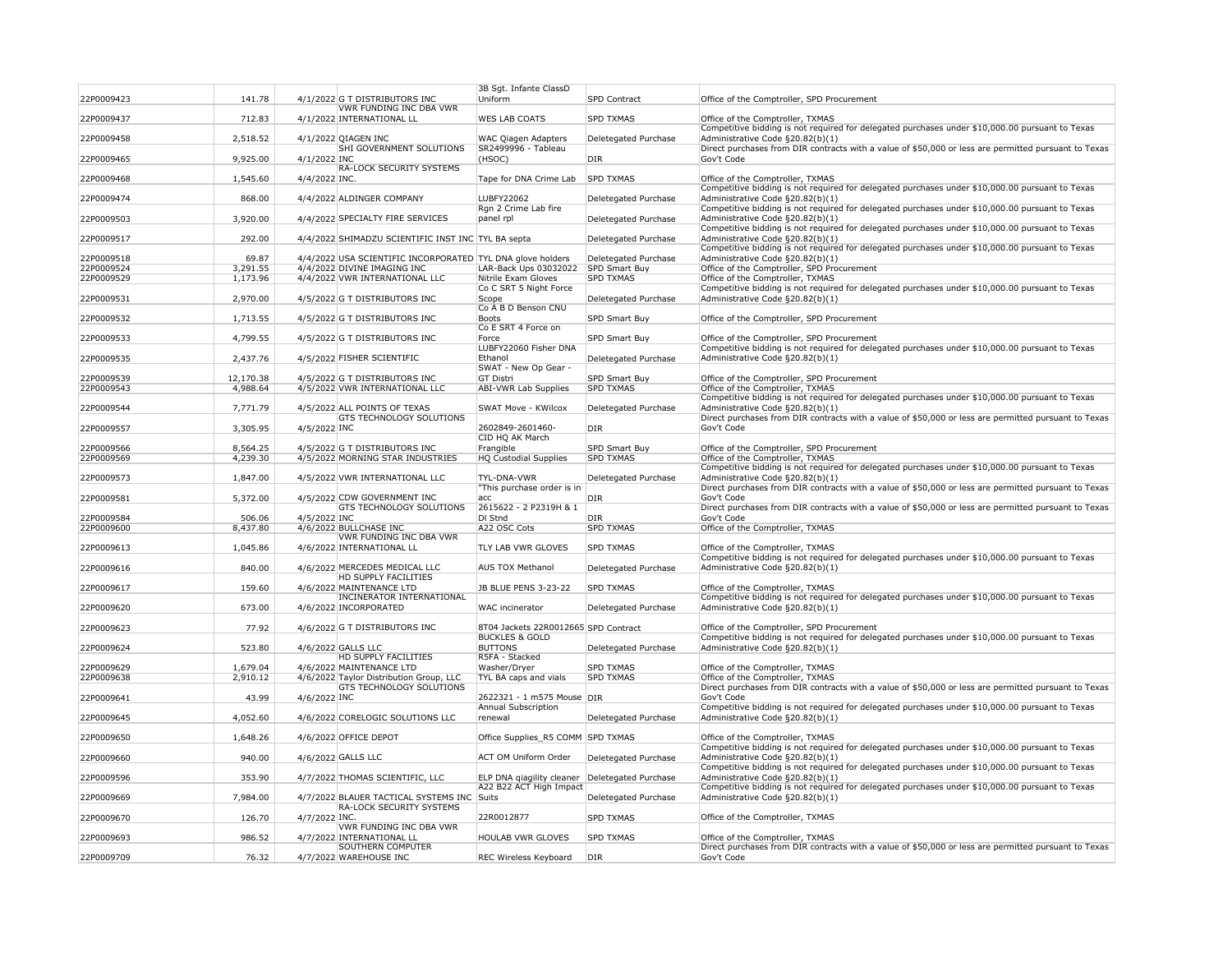| 22P0009423 | 141.78    |               | 4/1/2022 G T DISTRIBUTORS INC                                                 | 3B Sgt. Infante ClassD<br>Uniform                                 | SPD Contract         | Office of the Comptroller, SPD Procurement                                                                                                    |
|------------|-----------|---------------|-------------------------------------------------------------------------------|-------------------------------------------------------------------|----------------------|-----------------------------------------------------------------------------------------------------------------------------------------------|
| 22P0009437 | 712.83    |               | <b>VWR FUNDING INC DBA VWR</b><br>4/1/2022 INTERNATIONAL LL                   | <b>WES LAB COATS</b>                                              | <b>SPD TXMAS</b>     | Office of the Comptroller, TXMAS                                                                                                              |
| 22P0009458 | 2,518.52  |               | 4/1/2022 QIAGEN INC                                                           | <b>WAC Qiagen Adapters</b>                                        | Deletegated Purchase | Competitive bidding is not required for delegated purchases under \$10,000.00 pursuant to Texas<br>Administrative Code §20.82(b)(1)           |
|            |           |               | <b>SHI GOVERNMENT SOLUTIONS</b>                                               | SR2499996 - Tableau                                               |                      | Direct purchases from DIR contracts with a value of \$50,000 or less are permitted pursuant to Texas                                          |
| 22P0009465 | 9,925.00  | 4/1/2022 INC  | <b>RA-LOCK SECURITY SYSTEMS</b>                                               | (HSOC)                                                            | DIR                  | Gov't Code                                                                                                                                    |
| 22P0009468 | 1,545.60  | 4/4/2022 INC. |                                                                               | Tape for DNA Crime Lab                                            | <b>SPD TXMAS</b>     | Office of the Comptroller, TXMAS<br>Competitive bidding is not required for delegated purchases under \$10,000.00 pursuant to Texas           |
| 22P0009474 | 868.00    |               | 4/4/2022 ALDINGER COMPANY                                                     | LUBFY22062<br>Rgn 2 Crime Lab fire                                | Deletegated Purchase | Administrative Code §20.82(b)(1)<br>Competitive bidding is not required for delegated purchases under \$10,000.00 pursuant to Texas           |
| 22P0009503 | 3,920.00  |               | 4/4/2022 SPECIALTY FIRE SERVICES                                              | panel rpl                                                         | Deletegated Purchase | Administrative Code §20.82(b)(1)                                                                                                              |
| 22P0009517 | 292.00    |               | 4/4/2022 SHIMADZU SCIENTIFIC INST INC TYL BA septa                            |                                                                   | Deletegated Purchase | Competitive bidding is not required for delegated purchases under \$10,000.00 pursuant to Texas<br>Administrative Code §20.82(b)(1)           |
| 22P0009518 | 69.87     |               | 4/4/2022 USA SCIENTIFIC INCORPORATED TYL DNA glove holders                    |                                                                   | Deletegated Purchase | Competitive bidding is not required for delegated purchases under \$10,000.00 pursuant to Texas<br>Administrative Code §20.82(b)(1)           |
| 22P0009524 | 3,291.55  |               | 4/4/2022 DIVINE IMAGING INC                                                   | LAR-Back Ups 03032022                                             | SPD Smart Buy        | Office of the Comptroller, SPD Procurement                                                                                                    |
| 22P0009529 | 1,173.96  |               | 4/4/2022 VWR INTERNATIONAL LLC                                                | Nitrile Exam Gloves                                               | <b>SPD TXMAS</b>     | Office of the Comptroller, TXMAS                                                                                                              |
|            |           |               |                                                                               | Co C SRT 5 Night Force                                            |                      | Competitive bidding is not required for delegated purchases under \$10,000.00 pursuant to Texas                                               |
| 22P0009531 | 2,970.00  |               | 4/5/2022 G T DISTRIBUTORS INC                                                 | Scope<br>Co A B D Benson CNU                                      | Deletegated Purchase | Administrative Code §20.82(b)(1)                                                                                                              |
| 22P0009532 | 1,713.55  |               | 4/5/2022 G T DISTRIBUTORS INC                                                 | Boots                                                             | SPD Smart Buy        | Office of the Comptroller, SPD Procurement                                                                                                    |
| 22P0009533 | 4,799.55  |               | 4/5/2022 G T DISTRIBUTORS INC                                                 | Co E SRT 4 Force on<br>Force                                      | SPD Smart Buy        | Office of the Comptroller, SPD Procurement                                                                                                    |
|            |           |               |                                                                               | LUBFY22060 Fisher DNA                                             |                      | Competitive bidding is not required for delegated purchases under \$10,000.00 pursuant to Texas                                               |
| 22P0009535 | 2,437.76  |               | 4/5/2022 FISHER SCIENTIFIC                                                    | Ethanol<br>SWAT - New Op Gear -                                   | Deletegated Purchase | Administrative Code §20.82(b)(1)                                                                                                              |
| 22P0009539 | 12,170.38 |               | 4/5/2022 G T DISTRIBUTORS INC                                                 | GT Distri                                                         | <b>SPD Smart Buy</b> | Office of the Comptroller, SPD Procurement                                                                                                    |
| 22P0009543 | 4,988.64  |               | 4/5/2022 VWR INTERNATIONAL LLC                                                | ABI-VWR Lab Supplies                                              | <b>SPD TXMAS</b>     | Office of the Comptroller, TXMAS                                                                                                              |
| 22P0009544 | 7,771.79  |               | 4/5/2022 ALL POINTS OF TEXAS                                                  | <b>SWAT Move - KWilcox</b>                                        | Deletegated Purchase | Competitive bidding is not required for delegated purchases under \$10,000.00 pursuant to Texas<br>Administrative Code §20.82(b)(1)           |
|            |           |               | <b>GTS TECHNOLOGY SOLUTIONS</b>                                               |                                                                   |                      | Direct purchases from DIR contracts with a value of \$50,000 or less are permitted pursuant to Texas                                          |
| 22P0009557 | 3,305.95  | 4/5/2022 INC  |                                                                               | 2602849-2601460-<br>CID HQ AK March                               | DIR                  | Gov't Code                                                                                                                                    |
| 22P0009566 | 8,564.25  |               | 4/5/2022 G T DISTRIBUTORS INC                                                 | Frangible                                                         | SPD Smart Buy        | Office of the Comptroller, SPD Procurement                                                                                                    |
| 22P0009569 | 4,239.30  |               | 4/5/2022 MORNING STAR INDUSTRIES                                              | HQ Custodial Supplies                                             | <b>SPD TXMAS</b>     | Office of the Comptroller, TXMAS<br>Competitive bidding is not required for delegated purchases under \$10,000.00 pursuant to Texas           |
| 22P0009573 | 1,847.00  |               | 4/5/2022 VWR INTERNATIONAL LLC                                                | <b>TYL-DNA-VWR</b><br>"This purchase order is in                  | Deletegated Purchase | Administrative Code §20.82(b)(1)<br>Direct purchases from DIR contracts with a value of \$50,000 or less are permitted pursuant to Texas      |
| 22P0009581 | 5,372.00  |               | 4/5/2022 CDW GOVERNMENT INC<br><b>GTS TECHNOLOGY SOLUTIONS</b>                | acc<br>2615622 - 2 P2319H & 1                                     | DIR                  | Gov't Code<br>Direct purchases from DIR contracts with a value of \$50,000 or less are permitted pursuant to Texas                            |
| 22P0009584 | 506.06    | 4/5/2022 INC  |                                                                               | DI Stnd                                                           | DIR                  | Gov't Code                                                                                                                                    |
| 22P0009600 | 8,437.80  |               | 4/6/2022 BULLCHASE INC                                                        | A22 OSC Cots                                                      | <b>SPD TXMAS</b>     | Office of the Comptroller, TXMAS                                                                                                              |
| 22P0009613 | 1,045.86  |               | VWR FUNDING INC DBA VWR<br>4/6/2022 INTERNATIONAL LL                          | <b>TLY LAB VWR GLOVES</b>                                         | <b>SPD TXMAS</b>     | Office of the Comptroller, TXMAS                                                                                                              |
|            |           |               |                                                                               |                                                                   |                      | Competitive bidding is not required for delegated purchases under \$10,000.00 pursuant to Texas                                               |
| 22P0009616 | 840.00    |               | 4/6/2022 MERCEDES MEDICAL LLC<br><b>HD SUPPLY FACILITIES</b>                  | <b>AUS TOX Methanol</b>                                           | Deletegated Purchase | Administrative Code §20.82(b)(1)                                                                                                              |
| 22P0009617 | 159.60    |               | 4/6/2022 MAINTENANCE LTD<br>INCINERATOR INTERNATIONAL                         | <b>JB BLUE PENS 3-23-22</b>                                       | <b>SPD TXMAS</b>     | Office of the Comptroller, TXMAS<br>Competitive bidding is not required for delegated purchases under \$10,000.00 pursuant to Texas           |
| 22P0009620 | 673.00    |               | 4/6/2022 INCORPORATED                                                         | <b>WAC</b> incinerator                                            | Deletegated Purchase | Administrative Code §20.82(b)(1)                                                                                                              |
|            |           |               |                                                                               |                                                                   |                      |                                                                                                                                               |
| 22P0009623 | 77.92     |               | 4/6/2022 G T DISTRIBUTORS INC                                                 | 8T04 Jackets 22R0012665 SPD Contract<br><b>BUCKLES &amp; GOLD</b> |                      | Office of the Comptroller, SPD Procurement<br>Competitive bidding is not required for delegated purchases under \$10,000.00 pursuant to Texas |
| 22P0009624 | 523.80    |               | 4/6/2022 GALLS LLC<br><b>HD SUPPLY FACILITIES</b>                             | <b>BUTTONS</b><br>R5FA - Stacked                                  | Deletegated Purchase | Administrative Code §20.82(b)(1)                                                                                                              |
| 22P0009629 | 1,679.04  |               | 4/6/2022 MAINTENANCE LTD                                                      | Washer/Dryer                                                      | <b>SPD TXMAS</b>     | Office of the Comptroller, TXMAS                                                                                                              |
| 22P0009638 | 2,910.12  |               | 4/6/2022 Taylor Distribution Group, LLC                                       | TYL BA caps and vials                                             | <b>SPD TXMAS</b>     | Office of the Comptroller, TXMAS                                                                                                              |
|            |           |               | <b>GTS TECHNOLOGY SOLUTIONS</b>                                               |                                                                   |                      | Direct purchases from DIR contracts with a value of \$50,000 or less are permitted pursuant to Texas                                          |
| 22P0009641 | 43.99     | 4/6/2022 INC  |                                                                               | 2622321 - 1 m575 Mouse DIR<br><b>Annual Subscription</b>          |                      | Gov't Code<br>Competitive bidding is not required for delegated purchases under \$10,000.00 pursuant to Texas                                 |
| 22P0009645 | 4,052.60  |               | 4/6/2022 CORELOGIC SOLUTIONS LLC                                              | renewal                                                           | Deletegated Purchase | Administrative Code §20.82(b)(1)                                                                                                              |
| 22P0009650 | 1,648.26  |               | 4/6/2022 OFFICE DEPOT                                                         | Office Supplies_R5 COMM SPD TXMAS                                 |                      | Office of the Comptroller, TXMAS                                                                                                              |
| 22P0009660 | 940.00    |               | 4/6/2022 GALLS LLC                                                            | <b>ACT OM Uniform Order</b>                                       | Deletegated Purchase | Competitive bidding is not required for delegated purchases under \$10,000.00 pursuant to Texas<br>Administrative Code §20.82(b)(1)           |
|            | 353.90    |               | 4/7/2022 THOMAS SCIENTIFIC, LLC                                               | ELP DNA qiagility cleaner                                         |                      | Competitive bidding is not required for delegated purchases under \$10,000.00 pursuant to Texas<br>Administrative Code §20.82(b)(1)           |
| 22P0009596 |           |               |                                                                               | A22 B22 ACT High Impact                                           | Deletegated Purchase | Competitive bidding is not required for delegated purchases under \$10,000.00 pursuant to Texas                                               |
| 22P0009669 | 7,984.00  |               | 4/7/2022 BLAUER TACTICAL SYSTEMS INC Suits<br><b>RA-LOCK SECURITY SYSTEMS</b> |                                                                   | Deletegated Purchase | Administrative Code §20.82(b)(1)                                                                                                              |
| 22P0009670 | 126.70    | 4/7/2022 INC. | <b>VWR FUNDING INC DBA VWR</b>                                                | 22R0012877                                                        | <b>SPD TXMAS</b>     | Office of the Comptroller, TXMAS                                                                                                              |
| 22P0009693 | 986.52    |               | 4/7/2022 INTERNATIONAL LL                                                     | <b>HOULAB VWR GLOVES</b>                                          | <b>SPD TXMAS</b>     | Office of the Comptroller, TXMAS                                                                                                              |
| 22P0009709 | 76.32     |               | <b>SOUTHERN COMPUTER</b><br>4/7/2022 WAREHOUSE INC                            | REC Wireless Keyboard                                             | DIR                  | Direct purchases from DIR contracts with a value of \$50,000 or less are permitted pursuant to Texas<br>Gov't Code                            |
|            |           |               |                                                                               |                                                                   |                      |                                                                                                                                               |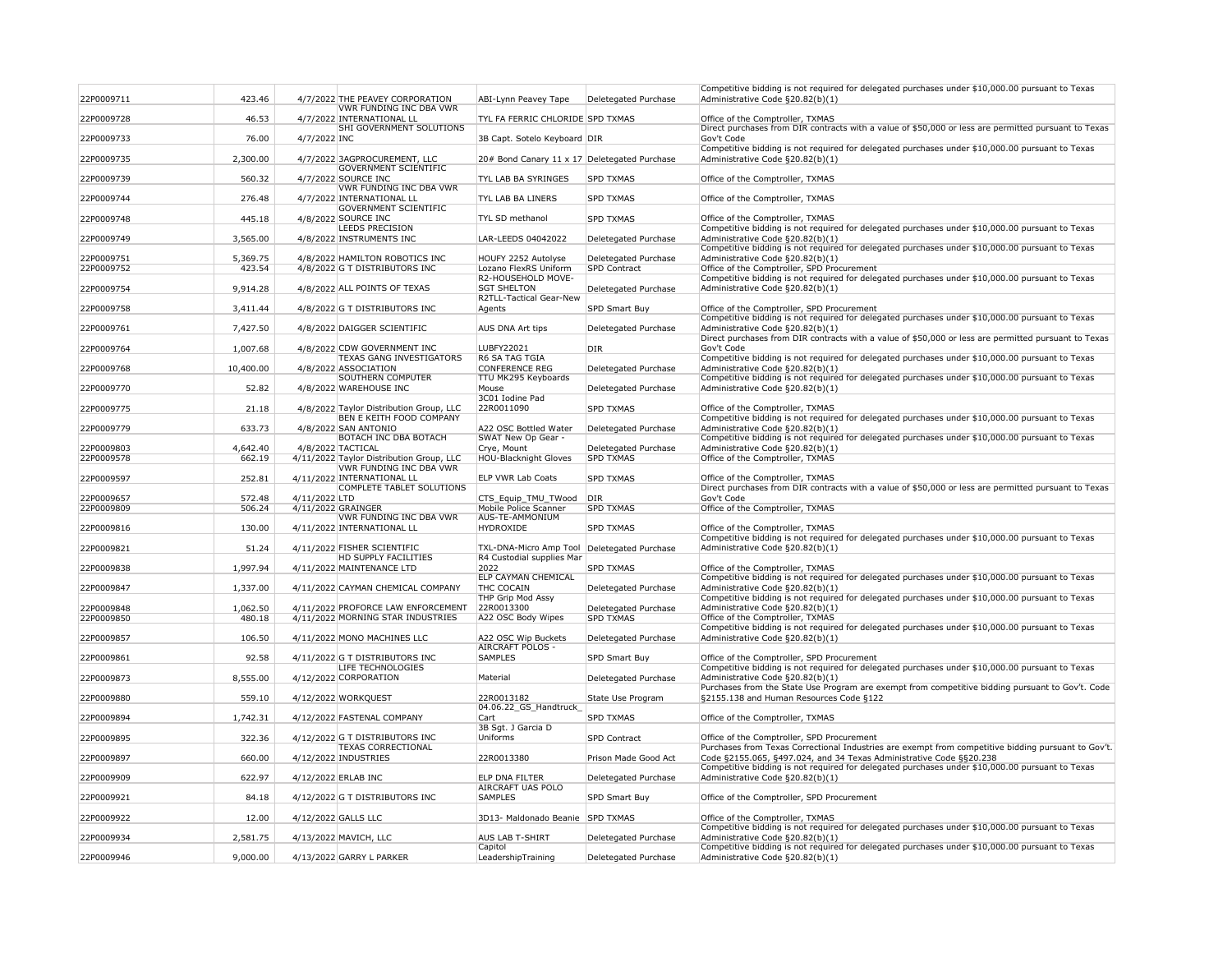| 22P0009711               | 423.46             |               | 4/7/2022 THE PEAVEY CORPORATION                               | ABI-Lynn Peavey Tape                                                       | Deletegated Purchase                     | Competitive bidding is not required for delegated purchases under \$10,000.00 pursuant to Texas<br>Administrative Code §20.82(b)(1)                                        |
|--------------------------|--------------------|---------------|---------------------------------------------------------------|----------------------------------------------------------------------------|------------------------------------------|----------------------------------------------------------------------------------------------------------------------------------------------------------------------------|
| 22P0009728               | 46.53              |               | <b>VWR FUNDING INC DBA VWR</b><br>4/7/2022 INTERNATIONAL LL   | TYL FA FERRIC CHLORIDE SPD TXMAS                                           |                                          | Office of the Comptroller, TXMAS                                                                                                                                           |
| 22P0009733               | 76.00              | 4/7/2022 INC  | <b>SHI GOVERNMENT SOLUTIONS</b>                               | 3B Capt. Sotelo Keyboard DIR                                               |                                          | Direct purchases from DIR contracts with a value of \$50,000 or less are permitted pursuant to Texas<br>Gov't Code                                                         |
| 22P0009735               | 2,300.00           |               | 4/7/2022 3AGPROCUREMENT, LLC                                  | 20# Bond Canary 11 x 17 Deletegated Purchase                               |                                          | Competitive bidding is not required for delegated purchases under \$10,000.00 pursuant to Texas<br>Administrative Code §20.82(b)(1)                                        |
| 22P0009739               | 560.32             |               | <b>GOVERNMENT SCIENTIFIC</b><br>4/7/2022 SOURCE INC           | <b>TYL LAB BA SYRINGES</b>                                                 | <b>SPD TXMAS</b>                         | Office of the Comptroller, TXMAS                                                                                                                                           |
| 22P0009744               | 276.48             |               | VWR FUNDING INC DBA VWR<br>4/7/2022 INTERNATIONAL LL          | <b>TYL LAB BA LINERS</b>                                                   | <b>SPD TXMAS</b>                         | Office of the Comptroller, TXMAS                                                                                                                                           |
| 22P0009748               | 445.18             |               | <b>GOVERNMENT SCIENTIFIC</b><br>4/8/2022 SOURCE INC           | TYL SD methanol                                                            | <b>SPD TXMAS</b>                         | Office of the Comptroller, TXMAS                                                                                                                                           |
| 22P0009749               | 3,565.00           |               | <b>LEEDS PRECISION</b><br>4/8/2022 INSTRUMENTS INC            | LAR-LEEDS 04042022                                                         | Deletegated Purchase                     | Competitive bidding is not required for delegated purchases under \$10,000.00 pursuant to Texas<br>Administrative Code §20.82(b)(1)                                        |
|                          |                    |               |                                                               |                                                                            |                                          | Competitive bidding is not required for delegated purchases under \$10,000.00 pursuant to Texas                                                                            |
| 22P0009751               | 5,369.75           |               | 4/8/2022 HAMILTON ROBOTICS INC                                | HOUFY 2252 Autolyse                                                        | Deletegated Purchase                     | Administrative Code §20.82(b)(1)                                                                                                                                           |
| 22P0009752               | 423.54             |               | 4/8/2022 G T DISTRIBUTORS INC                                 | Lozano FlexRS Uniform                                                      | <b>SPD Contract</b>                      | Office of the Comptroller, SPD Procurement<br>Competitive bidding is not required for delegated purchases under \$10,000.00 pursuant to Texas                              |
| 22P0009754               | 9,914.28           |               | 4/8/2022 ALL POINTS OF TEXAS                                  | R2-HOUSEHOLD MOVE-<br><b>SGT SHELTON</b><br><b>R2TLL-Tactical Gear-New</b> | Deletegated Purchase                     | Administrative Code §20.82(b)(1)                                                                                                                                           |
| 22P0009758               | 3,411.44           |               | 4/8/2022 G T DISTRIBUTORS INC                                 | Agents                                                                     | SPD Smart Buy                            | Office of the Comptroller, SPD Procurement                                                                                                                                 |
| 22P0009761               | 7,427.50           |               | 4/8/2022 DAIGGER SCIENTIFIC                                   | AUS DNA Art tips                                                           | Deletegated Purchase                     | Competitive bidding is not required for delegated purchases under \$10,000.00 pursuant to Texas<br>Administrative Code §20.82(b)(1)                                        |
| 22P0009764               | 1,007.68           |               | 4/8/2022 CDW GOVERNMENT INC                                   | LUBFY22021                                                                 | DIR                                      | Direct purchases from DIR contracts with a value of \$50,000 or less are permitted pursuant to Texas<br>Gov't Code                                                         |
| 22P0009768               | 10,400.00          |               | <b>TEXAS GANG INVESTIGATORS</b><br>4/8/2022 ASSOCIATION       | <b>R6 SA TAG TGIA</b><br><b>CONFERENCE REG</b>                             | Deletegated Purchase                     | Competitive bidding is not required for delegated purchases under \$10,000.00 pursuant to Texas<br>Administrative Code §20.82(b)(1)                                        |
| 22P0009770               | 52.82              |               | <b>SOUTHERN COMPUTER</b><br>4/8/2022 WAREHOUSE INC            | TTU MK295 Keyboards<br>Mouse                                               | Deletegated Purchase                     | Competitive bidding is not required for delegated purchases under \$10,000.00 pursuant to Texas<br>Administrative Code §20.82(b)(1)                                        |
| 22P0009775               | 21.18              |               | 4/8/2022 Taylor Distribution Group, LLC                       | 3C01 Iodine Pad<br>22R0011090                                              | <b>SPD TXMAS</b>                         | Office of the Comptroller, TXMAS                                                                                                                                           |
| 22P0009779               | 633.73             |               | <b>BEN E KEITH FOOD COMPANY</b><br>4/8/2022 SAN ANTONIO       | A22 OSC Bottled Water                                                      | Deletegated Purchase                     | Competitive bidding is not required for delegated purchases under \$10,000.00 pursuant to Texas<br>Administrative Code §20.82(b)(1)                                        |
|                          |                    |               | <b>BOTACH INC DBA BOTACH</b>                                  | SWAT New Op Gear -                                                         |                                          | Competitive bidding is not required for delegated purchases under \$10,000.00 pursuant to Texas                                                                            |
| 22P0009803<br>22P0009578 | 4,642.40<br>662.19 |               | 4/8/2022 TACTICAL<br>4/11/2022 Taylor Distribution Group, LLC | Crye, Mount<br><b>HOU-Blacknight Gloves</b>                                | Deletegated Purchase<br><b>SPD TXMAS</b> | Administrative Code §20.82(b)(1)<br>Office of the Comptroller, TXMAS                                                                                                       |
| 22P0009597               | 252.81             |               | VWR FUNDING INC DBA VWR<br>4/11/2022 INTERNATIONAL LL         | <b>ELP VWR Lab Coats</b>                                                   | <b>SPD TXMAS</b>                         | Office of the Comptroller, TXMAS                                                                                                                                           |
| 22P0009657               | 572.48             | 4/11/2022 LTD | COMPLETE TABLET SOLUTIONS                                     | CTS_Equip_TMU_TWood                                                        | <b>DIR</b>                               | Direct purchases from DIR contracts with a value of \$50,000 or less are permitted pursuant to Texas<br>Gov't Code                                                         |
| 22P0009809               | 506.24             |               | 4/11/2022 GRAINGER<br><b>VWR FUNDING INC DBA VWR</b>          | <b>Mobile Police Scanner</b><br><b>AUS-TE-AMMONIUM</b>                     | <b>SPD TXMAS</b>                         | Office of the Comptroller, TXMAS                                                                                                                                           |
| 22P0009816               | 130.00             |               | 4/11/2022 INTERNATIONAL LL                                    | HYDROXIDE                                                                  | <b>SPD TXMAS</b>                         | Office of the Comptroller, TXMAS<br>Competitive bidding is not required for delegated purchases under \$10,000.00 pursuant to Texas                                        |
| 22P0009821               | 51.24              |               | 4/11/2022 FISHER SCIENTIFIC<br><b>HD SUPPLY FACILITIES</b>    | TXL-DNA-Micro Amp Tool                                                     | Deletegated Purchase                     | Administrative Code §20.82(b)(1)                                                                                                                                           |
| 22P0009838               | 1,997.94           |               | 4/11/2022 MAINTENANCE LTD                                     | R4 Custodial supplies Mar<br>2022                                          | <b>SPD TXMAS</b>                         | Office of the Comptroller, TXMAS                                                                                                                                           |
| 22P0009847               | 1,337.00           |               | 4/11/2022 CAYMAN CHEMICAL COMPANY                             | <b>ELP CAYMAN CHEMICAL</b><br><b>THC COCAIN</b>                            | Deletegated Purchase                     | Competitive bidding is not required for delegated purchases under \$10,000.00 pursuant to Texas<br>Administrative Code §20.82(b)(1)                                        |
| 22P0009848               | 1,062.50           |               | 4/11/2022 PROFORCE LAW ENFORCEMENT                            | THP Grip Mod Assy<br>22R0013300                                            | Deletegated Purchase                     | Competitive bidding is not required for delegated purchases under \$10,000.00 pursuant to Texas<br>Administrative Code §20.82(b)(1)                                        |
| 22P0009850               | 480.18             |               | 4/11/2022 MORNING STAR INDUSTRIES                             | A22 OSC Body Wipes                                                         | <b>SPD TXMAS</b>                         | Office of the Comptroller, TXMAS<br>Competitive bidding is not required for delegated purchases under \$10,000.00 pursuant to Texas                                        |
| 22P0009857               | 106.50             |               | 4/11/2022 MONO MACHINES LLC                                   | A22 OSC Wip Buckets<br><b>AIRCRAFT POLOS -</b>                             | Deletegated Purchase                     | Administrative Code §20.82(b)(1)                                                                                                                                           |
| 22P0009861               | 92.58              |               | 4/11/2022 G T DISTRIBUTORS INC<br><b>LIFE TECHNOLOGIES</b>    | <b>SAMPLES</b>                                                             | SPD Smart Buy                            | Office of the Comptroller, SPD Procurement<br>Competitive bidding is not required for delegated purchases under \$10,000.00 pursuant to Texas                              |
| 22P0009873               | 8,555.00           |               | 4/12/2022 CORPORATION                                         | Material                                                                   | Deletegated Purchase                     | Administrative Code §20.82(b)(1)                                                                                                                                           |
| 22P0009880               | 559.10             |               | 4/12/2022 WORKQUEST                                           | 22R0013182                                                                 | State Use Program                        | Purchases from the State Use Program are exempt from competitive bidding pursuant to Gov't. Code<br>§2155.138 and Human Resources Code §122                                |
| 22P0009894               | 1,742.31           |               | 4/12/2022 FASTENAL COMPANY                                    | 04.06.22_GS_Handtruck<br>Cart                                              | <b>SPD TXMAS</b>                         | Office of the Comptroller, TXMAS                                                                                                                                           |
| 22P0009895               | 322.36             |               | 4/12/2022 G T DISTRIBUTORS INC                                | 3B Sgt. J Garcia D<br>Uniforms                                             | <b>SPD Contract</b>                      | Office of the Comptroller, SPD Procurement                                                                                                                                 |
| 22P0009897               | 660.00             |               | <b>TEXAS CORRECTIONAL</b><br>4/12/2022 INDUSTRIES             | 22R0013380                                                                 | Prison Made Good Act                     | Purchases from Texas Correctional Industries are exempt from competitive bidding pursuant to Gov't.<br>Code §2155.065, §497.024, and 34 Texas Administrative Code §§20.238 |
| 22P0009909               | 622.97             |               | 4/12/2022 ERLAB INC                                           | <b>ELP DNA FILTER</b>                                                      | Deletegated Purchase                     | Competitive bidding is not required for delegated purchases under \$10,000.00 pursuant to Texas<br>Administrative Code §20.82(b)(1)                                        |
| 22P0009921               | 84.18              |               | 4/12/2022 G T DISTRIBUTORS INC                                | <b>AIRCRAFT UAS POLO</b><br><b>SAMPLES</b>                                 | <b>SPD Smart Buy</b>                     | Office of the Comptroller, SPD Procurement                                                                                                                                 |
| 22P0009922               | 12.00              |               | 4/12/2022 GALLS LLC                                           | 3D13- Maldonado Beanie SPD TXMAS                                           |                                          | Office of the Comptroller, TXMAS                                                                                                                                           |
| 22P0009934               | 2,581.75           |               | 4/13/2022 MAVICH, LLC                                         | <b>AUS LAB T-SHIRT</b>                                                     | Deletegated Purchase                     | Competitive bidding is not required for delegated purchases under \$10,000.00 pursuant to Texas<br>Administrative Code §20.82(b)(1)                                        |
|                          |                    |               | 4/13/2022 GARRY L PARKER                                      | Capitol                                                                    |                                          | Competitive bidding is not required for delegated purchases under \$10,000.00 pursuant to Texas<br>Administrative Code §20.82(b)(1)                                        |
| 22P0009946               | 9,000.00           |               |                                                               | LeadershipTraining                                                         | Deletegated Purchase                     |                                                                                                                                                                            |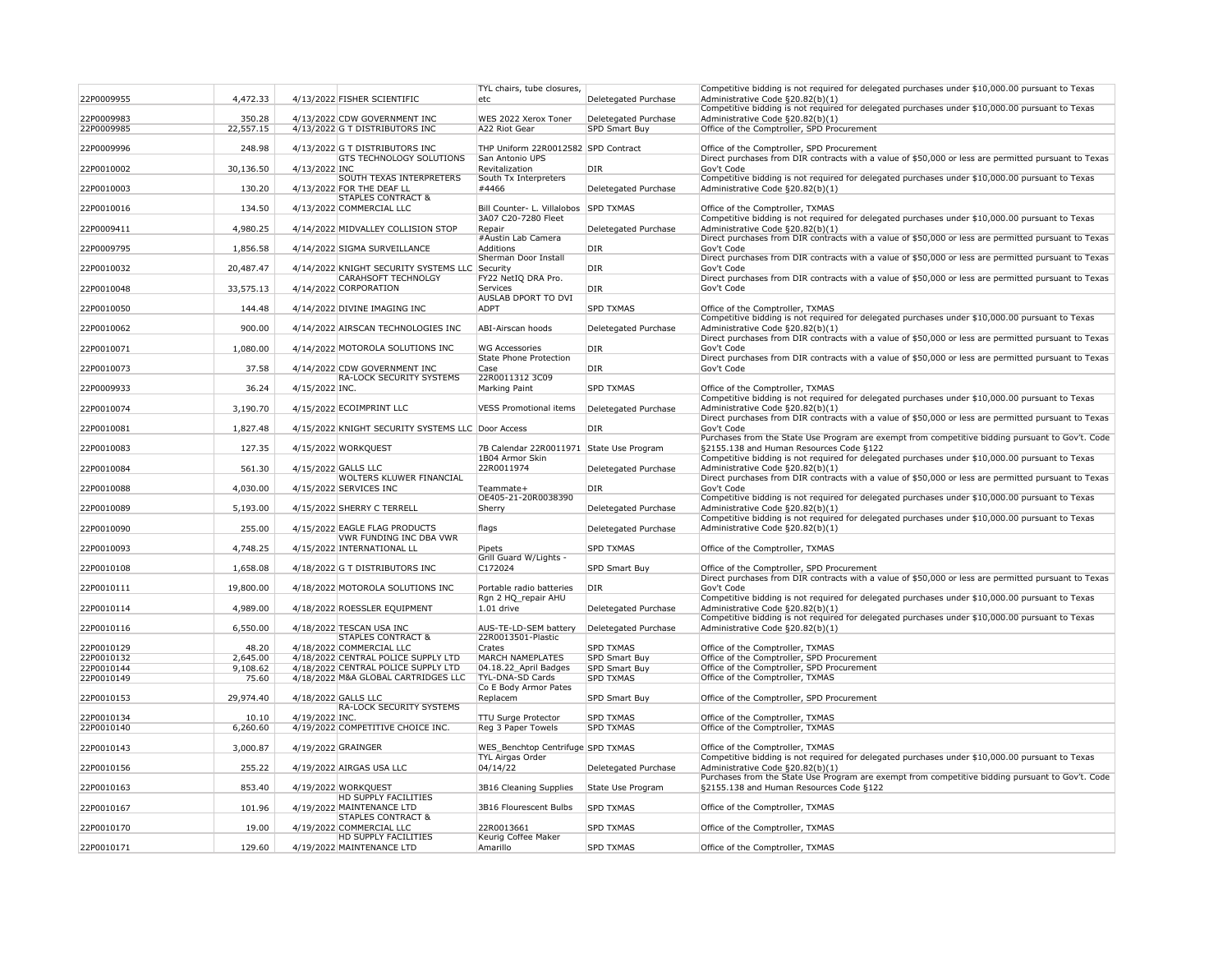| 22P0009955               | 4,472.33          | 4/13/2022 FISHER SCIENTIFIC                                                  | TYL chairs, tube closures,<br>etc               | Deletegated Purchase                     | Competitive bidding is not required for delegated purchases under \$10,000.00 pursuant to Texas<br>Administrative Code §20.82(b)(1)                |
|--------------------------|-------------------|------------------------------------------------------------------------------|-------------------------------------------------|------------------------------------------|----------------------------------------------------------------------------------------------------------------------------------------------------|
|                          |                   |                                                                              |                                                 |                                          | Competitive bidding is not required for delegated purchases under \$10,000.00 pursuant to Texas                                                    |
| 22P0009983               | 350.28            | 4/13/2022 CDW GOVERNMENT INC                                                 | WES 2022 Xerox Toner                            | Deletegated Purchase                     | Administrative Code §20.82(b)(1)                                                                                                                   |
| 22P0009985               | 22,557.15         | 4/13/2022 G T DISTRIBUTORS INC                                               | A22 Riot Gear                                   | <b>SPD Smart Buy</b>                     | Office of the Comptroller, SPD Procurement                                                                                                         |
| 22P0009996               | 248.98            | 4/13/2022 G T DISTRIBUTORS INC                                               | THP Uniform 22R0012582 SPD Contract             |                                          | Office of the Comptroller, SPD Procurement                                                                                                         |
|                          |                   | <b>GTS TECHNOLOGY SOLUTIONS</b>                                              | San Antonio UPS                                 |                                          | Direct purchases from DIR contracts with a value of \$50,000 or less are permitted pursuant to Texas                                               |
| 22P0010002               | 30,136.50         | 4/13/2022 INC<br><b>SOUTH TEXAS INTERPRETERS</b>                             | Revitalization<br>South Tx Interpreters         | DIR                                      | Gov't Code<br>Competitive bidding is not required for delegated purchases under \$10,000.00 pursuant to Texas                                      |
| 22P0010003               | 130.20            | 4/13/2022 FOR THE DEAF LL                                                    | #4466                                           | Deletegated Purchase                     | Administrative Code §20.82(b)(1)                                                                                                                   |
|                          | 134.50            | <b>STAPLES CONTRACT &amp;</b><br>4/13/2022 COMMERCIAL LLC                    | Bill Counter- L. Villalobos SPD TXMAS           |                                          | Office of the Comptroller, TXMAS                                                                                                                   |
| 22P0010016               |                   |                                                                              | 3A07 C20-7280 Fleet                             |                                          | Competitive bidding is not required for delegated purchases under \$10,000.00 pursuant to Texas                                                    |
| 22P0009411               | 4,980.25          | 4/14/2022 MIDVALLEY COLLISION STOP                                           | Repair                                          | Deletegated Purchase                     | Administrative Code §20.82(b)(1)                                                                                                                   |
| 22P0009795               | 1,856.58          | 4/14/2022 SIGMA SURVEILLANCE                                                 | #Austin Lab Camera<br>Additions                 | <b>DIR</b>                               | Direct purchases from DIR contracts with a value of \$50,000 or less are permitted pursuant to Texas<br>Gov't Code                                 |
|                          |                   |                                                                              | Sherman Door Install                            |                                          | Direct purchases from DIR contracts with a value of \$50,000 or less are permitted pursuant to Texas                                               |
| 22P0010032               | 20,487.47         | 4/14/2022 KNIGHT SECURITY SYSTEMS LLC Security<br><b>CARAHSOFT TECHNOLGY</b> | FY22 NetIQ DRA Pro.                             | DIR <sub></sub>                          | Gov't Code<br>Direct purchases from DIR contracts with a value of \$50,000 or less are permitted pursuant to Texas                                 |
| 22P0010048               | 33,575.13         | 4/14/2022 CORPORATION                                                        | <b>Services</b>                                 | <b>DIR</b>                               | Gov't Code                                                                                                                                         |
|                          |                   |                                                                              | <b>AUSLAB DPORT TO DVI</b>                      |                                          |                                                                                                                                                    |
| 22P0010050               | 144.48            | 4/14/2022 DIVINE IMAGING INC                                                 | <b>ADPT</b>                                     | <b>SPD TXMAS</b>                         | Office of the Comptroller, TXMAS<br>Competitive bidding is not required for delegated purchases under \$10,000.00 pursuant to Texas                |
| 22P0010062               | 900.00            | 4/14/2022 AIRSCAN TECHNOLOGIES INC                                           | ABI-Airscan hoods                               | Deletegated Purchase                     | Administrative Code §20.82(b)(1)                                                                                                                   |
|                          |                   |                                                                              |                                                 |                                          | Direct purchases from DIR contracts with a value of \$50,000 or less are permitted pursuant to Texas                                               |
| 22P0010071               | 1,080.00          | 4/14/2022 MOTOROLA SOLUTIONS INC                                             | WG Accessories<br><b>State Phone Protection</b> | DIR <sub>.</sub>                         | Gov't Code<br>Direct purchases from DIR contracts with a value of \$50,000 or less are permitted pursuant to Texas                                 |
| 22P0010073               | 37.58             | 4/14/2022 CDW GOVERNMENT INC                                                 | Case                                            | <b>DIR</b>                               | Gov't Code                                                                                                                                         |
|                          |                   | <b>RA-LOCK SECURITY SYSTEMS</b>                                              | 22R0011312 3C09                                 |                                          |                                                                                                                                                    |
| 22P0009933               | 36.24             | 4/15/2022 INC.                                                               | Marking Paint                                   | <b>SPD TXMAS</b>                         | Office of the Comptroller, TXMAS<br>Competitive bidding is not required for delegated purchases under \$10,000.00 pursuant to Texas                |
| 22P0010074               | 3,190.70          | 4/15/2022 ECOIMPRINT LLC                                                     | <b>VESS Promotional items</b>                   | Deletegated Purchase                     | Administrative Code §20.82(b)(1)                                                                                                                   |
| 22P0010081               | 1,827.48          | 4/15/2022 KNIGHT SECURITY SYSTEMS LLC Door Access                            |                                                 | DIR                                      | Direct purchases from DIR contracts with a value of \$50,000 or less are permitted pursuant to Texas<br>Gov't Code                                 |
|                          |                   |                                                                              |                                                 |                                          | Purchases from the State Use Program are exempt from competitive bidding pursuant to Gov't. Code                                                   |
| 22P0010083               | 127.35            | 4/15/2022 WORKQUEST                                                          | 7B Calendar 22R0011971 State Use Program        |                                          | §2155.138 and Human Resources Code §122                                                                                                            |
| 22P0010084               | 561.30            | 4/15/2022 GALLS LLC                                                          | 1B04 Armor Skin<br>22R0011974                   | Deletegated Purchase                     | Competitive bidding is not required for delegated purchases under \$10,000.00 pursuant to Texas<br>Administrative Code §20.82(b)(1)                |
|                          |                   | <b>WOLTERS KLUWER FINANCIAL</b>                                              |                                                 |                                          | Direct purchases from DIR contracts with a value of \$50,000 or less are permitted pursuant to Texas                                               |
| 22P0010088               | 4,030.00          | 4/15/2022 SERVICES INC                                                       | Teammate+<br>OE405-21-20R0038390                | DIR <sub>.</sub>                         | Gov't Code<br>Competitive bidding is not required for delegated purchases under \$10,000.00 pursuant to Texas                                      |
| 22P0010089               | 5,193.00          | 4/15/2022 SHERRY C TERRELL                                                   | Sherry                                          | Deletegated Purchase                     | Administrative Code §20.82(b)(1)                                                                                                                   |
|                          |                   |                                                                              |                                                 |                                          | Competitive bidding is not required for delegated purchases under \$10,000.00 pursuant to Texas                                                    |
| 22P0010090               | 255.00            | 4/15/2022 EAGLE FLAG PRODUCTS<br><b>VWR FUNDING INC DBA VWR</b>              | flags                                           | Deletegated Purchase                     | Administrative Code §20.82(b)(1)                                                                                                                   |
| 22P0010093               | 4,748.25          | 4/15/2022 INTERNATIONAL LL                                                   | Pipets                                          | <b>SPD TXMAS</b>                         | Office of the Comptroller, TXMAS                                                                                                                   |
|                          |                   |                                                                              | Grill Guard W/Lights -                          |                                          |                                                                                                                                                    |
| 22P0010108               | 1,658.08          | 4/18/2022 G T DISTRIBUTORS INC                                               | C172024                                         | <b>SPD Smart Buy</b>                     | Office of the Comptroller, SPD Procurement<br>Direct purchases from DIR contracts with a value of \$50,000 or less are permitted pursuant to Texas |
| 22P0010111               | 19,800.00         | 4/18/2022 MOTOROLA SOLUTIONS INC                                             | Portable radio batteries                        | DIR <sub>.</sub>                         | Gov't Code                                                                                                                                         |
| 22P0010114               | 4,989.00          | 4/18/2022 ROESSLER EQUIPMENT                                                 | Rgn 2 HQ_repair AHU<br>$1.01$ drive             | Deletegated Purchase                     | Competitive bidding is not required for delegated purchases under \$10,000.00 pursuant to Texas<br>Administrative Code §20.82(b)(1)                |
|                          |                   |                                                                              |                                                 |                                          | Competitive bidding is not required for delegated purchases under \$10,000.00 pursuant to Texas                                                    |
| 22P0010116               | 6,550.00          | 4/18/2022 TESCAN USA INC                                                     | AUS-TE-LD-SEM battery<br>22R0013501-Plastic     | Deletegated Purchase                     | Administrative Code §20.82(b)(1)                                                                                                                   |
| 22P0010129               | 48.20             | <b>STAPLES CONTRACT &amp;</b><br>4/18/2022 COMMERCIAL LLC                    | Crates                                          | <b>SPD TXMAS</b>                         | Office of the Comptroller, TXMAS                                                                                                                   |
| 22P0010132               | 2,645.00          | 4/18/2022 CENTRAL POLICE SUPPLY LTD                                          | <b>MARCH NAMEPLATES</b>                         | SPD Smart Buy                            | Office of the Comptroller, SPD Procurement                                                                                                         |
| 22P0010144<br>22P0010149 | 9,108.62<br>75.60 | 4/18/2022 CENTRAL POLICE SUPPLY LTD<br>4/18/2022 M&A GLOBAL CARTRIDGES LLC   | 04.18.22_April Badges<br>TYL-DNA-SD Cards       | <b>SPD Smart Buy</b><br><b>SPD TXMAS</b> | Office of the Comptroller, SPD Procurement<br>Office of the Comptroller, TXMAS                                                                     |
|                          |                   |                                                                              | Co E Body Armor Pates                           |                                          |                                                                                                                                                    |
| 22P0010153               | 29,974.40         | 4/18/2022 GALLS LLC                                                          | Replacem                                        | <b>SPD Smart Buy</b>                     | Office of the Comptroller, SPD Procurement                                                                                                         |
| 22P0010134               | 10.10             | <b>RA-LOCK SECURITY SYSTEMS</b><br>4/19/2022 INC.                            | <b>TTU Surge Protector</b>                      | <b>SPD TXMAS</b>                         | Office of the Comptroller, TXMAS                                                                                                                   |
| 22P0010140               | 6,260.60          | 4/19/2022 COMPETITIVE CHOICE INC.                                            | Reg 3 Paper Towels                              | <b>SPD TXMAS</b>                         | Office of the Comptroller, TXMAS                                                                                                                   |
| 22P0010143               | 3,000.87          | 4/19/2022 GRAINGER                                                           | WES_Benchtop Centrifuge SPD TXMAS               |                                          | Office of the Comptroller, TXMAS                                                                                                                   |
|                          |                   |                                                                              | <b>TYL Airgas Order</b>                         |                                          | Competitive bidding is not required for delegated purchases under \$10,000.00 pursuant to Texas                                                    |
| 22P0010156               | 255.22            | 4/19/2022 AIRGAS USA LLC                                                     | 04/14/22                                        | Deletegated Purchase                     | Administrative Code §20.82(b)(1)                                                                                                                   |
| 22P0010163               | 853.40            | 4/19/2022 WORKQUEST                                                          | 3B16 Cleaning Supplies                          | State Use Program                        | Purchases from the State Use Program are exempt from competitive bidding pursuant to Gov't. Code<br>§2155.138 and Human Resources Code §122        |
|                          |                   | <b>HD SUPPLY FACILITIES</b>                                                  |                                                 |                                          |                                                                                                                                                    |
| 22P0010167               | 101.96            | 4/19/2022 MAINTENANCE LTD<br><b>STAPLES CONTRACT &amp;</b>                   | 3B16 Flourescent Bulbs                          | <b>SPD TXMAS</b>                         | Office of the Comptroller, TXMAS                                                                                                                   |
| 22P0010170               | 19.00             | 4/19/2022 COMMERCIAL LLC                                                     | 22R0013661                                      | <b>SPD TXMAS</b>                         | Office of the Comptroller, TXMAS                                                                                                                   |
|                          | 129.60            | <b>HD SUPPLY FACILITIES</b><br>4/19/2022 MAINTENANCE LTD                     | Keurig Coffee Maker<br>Amarillo                 | <b>SPD TXMAS</b>                         | Office of the Comptroller, TXMAS                                                                                                                   |
| 22P0010171               |                   |                                                                              |                                                 |                                          |                                                                                                                                                    |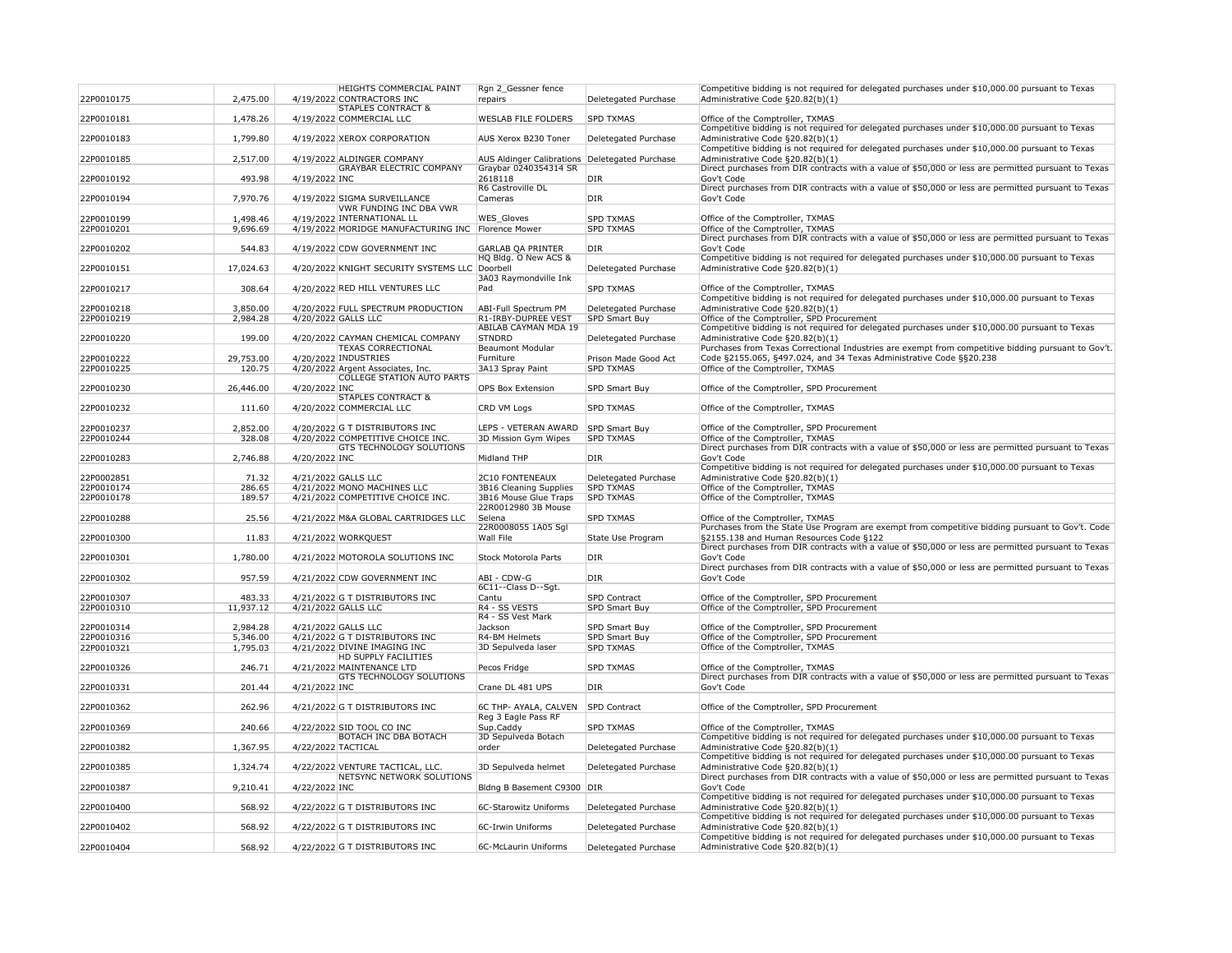| 22P0010175 | 2,475.00  |                    | <b>HEIGHTS COMMERCIAL PAINT</b><br>4/19/2022 CONTRACTORS INC   | Rgn 2 Gessner fence<br>repairs               | Deletegated Purchase | Compe<br>Admin           |
|------------|-----------|--------------------|----------------------------------------------------------------|----------------------------------------------|----------------------|--------------------------|
|            |           |                    | <b>STAPLES CONTRACT &amp;</b>                                  |                                              |                      |                          |
| 22P0010181 | 1,478.26  |                    | 4/19/2022 COMMERCIAL LLC                                       | <b>WESLAB FILE FOLDERS</b>                   | <b>SPD TXMAS</b>     | Office<br>Compe          |
| 22P0010183 | 1,799.80  |                    | 4/19/2022 XEROX CORPORATION                                    | AUS Xerox B230 Toner                         | Deletegated Purchase | Admin                    |
| 22P0010185 | 2,517.00  |                    | 4/19/2022 ALDINGER COMPANY                                     | <b>AUS Aldinger Calibrations</b>             | Deletegated Purchase | Compe<br>Admin           |
| 22P0010192 | 493.98    | 4/19/2022 INC      | <b>GRAYBAR ELECTRIC COMPANY</b>                                | Graybar 0240354314 SR<br>2618118             | <b>DIR</b>           | Direct<br>Gov't (        |
|            |           |                    |                                                                | R6 Castroville DL                            |                      | <b>Direct</b>            |
| 22P0010194 | 7,970.76  |                    | 4/19/2022 SIGMA SURVEILLANCE<br><b>VWR FUNDING INC DBA VWR</b> | Cameras                                      | <b>DIR</b>           | Gov't (                  |
| 22P0010199 | 1,498.46  |                    | 4/19/2022 INTERNATIONAL LL                                     | WES_Gloves                                   | <b>SPD TXMAS</b>     | Office                   |
| 22P0010201 | 9,696.69  |                    | 4/19/2022 MORIDGE MANUFACTURING INC                            | Florence Mower                               | <b>SPD TXMAS</b>     | Office<br><b>Direct</b>  |
| 22P0010202 | 544.83    |                    | 4/19/2022 CDW GOVERNMENT INC                                   | <b>GARLAB QA PRINTER</b>                     | <b>DIR</b>           | Gov't (                  |
| 22P0010151 | 17,024.63 |                    | 4/20/2022 KNIGHT SECURITY SYSTEMS LLC Doorbell                 | HQ Bldg. O New ACS &                         | Deletegated Purchase | Compe<br>Admin           |
| 22P0010217 | 308.64    |                    | 4/20/2022 RED HILL VENTURES LLC                                | 3A03 Raymondville Ink<br>Pad                 | <b>SPD TXMAS</b>     | Office                   |
| 22P0010218 | 3,850.00  |                    | 4/20/2022 FULL SPECTRUM PRODUCTION                             | <b>ABI-Full Spectrum PM</b>                  | Deletegated Purchase | Compe<br>Admin           |
| 22P0010219 | 2,984.28  |                    | 4/20/2022 GALLS LLC                                            | R1-IRBY-DUPREE VEST                          | <b>SPD Smart Buy</b> | Office                   |
|            |           |                    |                                                                | <b>ABILAB CAYMAN MDA 19</b><br><b>STNDRD</b> |                      | Compe                    |
| 22P0010220 | 199.00    |                    | 4/20/2022 CAYMAN CHEMICAL COMPANY<br><b>TEXAS CORRECTIONAL</b> | <b>Beaumont Modular</b>                      | Deletegated Purchase | Admin<br>Purcha          |
| 22P0010222 | 29,753.00 |                    | 4/20/2022 INDUSTRIES                                           | Furniture                                    | Prison Made Good Act | Code $\xi$               |
| 22P0010225 | 120.75    |                    | 4/20/2022 Argent Associates, Inc.                              | 3A13 Spray Paint                             | <b>SPD TXMAS</b>     | Office                   |
| 22P0010230 | 26,446.00 | 4/20/2022 INC      | <b>COLLEGE STATION AUTO PARTS</b>                              | <b>OPS Box Extension</b>                     | SPD Smart Buy        | Office                   |
|            |           |                    | <b>STAPLES CONTRACT &amp;</b>                                  |                                              |                      |                          |
| 22P0010232 | 111.60    |                    | 4/20/2022 COMMERCIAL LLC                                       | CRD VM Logs                                  | <b>SPD TXMAS</b>     | Office                   |
| 22P0010237 | 2,852.00  |                    | 4/20/2022 G T DISTRIBUTORS INC                                 | LEPS - VETERAN AWARD                         | <b>SPD Smart Buy</b> | Office                   |
| 22P0010244 | 328.08    |                    | 4/20/2022 COMPETITIVE CHOICE INC.                              | 3D Mission Gym Wipes                         | <b>SPD TXMAS</b>     | Office                   |
|            |           |                    | <b>GTS TECHNOLOGY SOLUTIONS</b>                                |                                              |                      | <b>Direct</b>            |
| 22P0010283 | 2,746.88  | 4/20/2022 INC      |                                                                | <b>Midland THP</b>                           | <b>DIR</b>           | Gov't (<br>Compe         |
| 22P0002851 | 71.32     |                    | 4/21/2022 GALLS LLC                                            | <b>2C10 FONTENEAUX</b>                       | Deletegated Purchase | Admin                    |
| 22P0010174 | 286.65    |                    | 4/21/2022 MONO MACHINES LLC                                    | 3B16 Cleaning Supplies                       | <b>SPD TXMAS</b>     | Office                   |
| 22P0010178 | 189.57    |                    | 4/21/2022 COMPETITIVE CHOICE INC.                              | 3B16 Mouse Glue Traps<br>22R0012980 3B Mouse | <b>SPD TXMAS</b>     | Office                   |
| 22P0010288 | 25.56     |                    | 4/21/2022 M&A GLOBAL CARTRIDGES LLC                            | Selena                                       | <b>SPD TXMAS</b>     | Office                   |
|            |           |                    |                                                                | 22R0008055 1A05 Sgl                          |                      | Purcha                   |
| 22P0010300 | 11.83     |                    | 4/21/2022 WORKQUEST                                            | Wall File                                    | State Use Program    | §2155<br><b>Direct</b>   |
| 22P0010301 | 1,780.00  |                    | 4/21/2022 MOTOROLA SOLUTIONS INC                               | <b>Stock Motorola Parts</b>                  | <b>DIR</b>           | Gov't (                  |
| 22P0010302 | 957.59    |                    | 4/21/2022 CDW GOVERNMENT INC                                   | ABI - CDW-G                                  | <b>DIR</b>           | <b>Direct</b><br>Gov't ( |
|            |           |                    |                                                                | 6C11--Class D--Sgt.                          |                      |                          |
| 22P0010307 | 483.33    |                    | 4/21/2022 G T DISTRIBUTORS INC                                 | Cantu                                        | SPD Contract         | Office                   |
| 22P0010310 | 11,937.12 |                    | 4/21/2022 GALLS LLC                                            | R4 - SS VESTS<br>R4 - SS Vest Mark           | <b>SPD Smart Buy</b> | Office                   |
| 22P0010314 | 2,984.28  |                    | 4/21/2022 GALLS LLC                                            | Jackson                                      | SPD Smart Buy        | Office                   |
| 22P0010316 | 5,346.00  |                    | 4/21/2022 G T DISTRIBUTORS INC                                 | R4-BM Helmets                                | <b>SPD Smart Buy</b> | Office                   |
| 22P0010321 | 1,795.03  |                    | 4/21/2022 DIVINE IMAGING INC                                   | 3D Sepulveda laser                           | <b>SPD TXMAS</b>     | Office                   |
| 22P0010326 | 246.71    |                    | <b>HD SUPPLY FACILITIES</b><br>4/21/2022 MAINTENANCE LTD       | Pecos Fridge                                 | <b>SPD TXMAS</b>     | Office                   |
|            |           |                    | <b>GTS TECHNOLOGY SOLUTIONS</b>                                |                                              |                      | <b>Direct</b>            |
| 22P0010331 | 201.44    | 4/21/2022 INC      |                                                                | Crane DL 481 UPS                             | <b>DIR</b>           | Gov't (                  |
| 22P0010362 | 262.96    |                    | 4/21/2022 G T DISTRIBUTORS INC                                 | 6C THP- AYALA, CALVEN<br>Reg 3 Eagle Pass RF | <b>SPD Contract</b>  | Office                   |
| 22P0010369 | 240.66    |                    | 4/22/2022 SID TOOL CO INC<br><b>BOTACH INC DBA BOTACH</b>      | Sup.Caddy<br>3D Sepulveda Botach             | <b>SPD TXMAS</b>     | Office<br>Compe          |
| 22P0010382 | 1,367.95  | 4/22/2022 TACTICAL |                                                                | order                                        | Deletegated Purchase | Admin                    |
| 22P0010385 | 1,324.74  |                    | 4/22/2022 VENTURE TACTICAL, LLC.                               | 3D Sepulveda helmet                          | Deletegated Purchase | Compe<br>Admin           |
| 22P0010387 | 9,210.41  | 4/22/2022 INC      | NETSYNC NETWORK SOLUTIONS                                      | Bldng B Basement C9300                       | DIR                  | Direct<br>Gov't (        |
|            |           |                    |                                                                |                                              |                      | Compe                    |
| 22P0010400 | 568.92    |                    | 4/22/2022 G T DISTRIBUTORS INC                                 | 6C-Starowitz Uniforms                        | Deletegated Purchase | Admin<br>Compe           |
| 22P0010402 | 568.92    |                    | 4/22/2022 G T DISTRIBUTORS INC                                 | 6C-Irwin Uniforms                            | Deletegated Purchase | Admin<br>Compe           |
| 22P0010404 | 568.92    |                    | 4/22/2022 G T DISTRIBUTORS INC                                 | 6C-McLaurin Uniforms                         | Deletegated Purchase | Admin                    |

etitive bidding is not required for delegated purchases under \$10,000.00 pursuant to Texas istrative Code  $\S 20.82(b)(1)$ of the Comptroller, TXMAS etitive bidding is not required for delegated purchases under \$10,000.00 pursuant to Texas istrative Code  $§20.82(b)(1)$ etitive bidding is not required for delegated purchases under \$10,000.00 pursuant to Texas istrative Code  $\S 20.82(b)(1)$ purchases from DIR contracts with a value of \$50,000 or less are permitted pursuant to Texas Code purchases from DIR contracts with a value of \$50,000 or less are permitted pursuant to Texas Code of the Comptroller, TXMAS of the Comptroller, TXMAS purchases from DIR contracts with a value of \$50,000 or less are permitted pursuant to Texas Code etitive bidding is not required for delegated purchases under \$10,000.00 pursuant to Texas istrative Code  $\S 20.82(b)(1)$ of the Comptroller, TXMAS etitive bidding is not required for delegated purchases under \$10,000.00 pursuant to Texas istrative Code  $\S20.82(b)(1)$ of the Comptroller, SPD Procurement etitive bidding is not required for delegated purchases under \$10,000.00 pursuant to Texas istrative Code  $§20.82(b)(1)$ ases from Texas Correctional Industries are exempt from competitive bidding pursuant to Gov't.  $\S2155.065$ ,  $\S497.024$ , and 34 Texas Administrative Code  $\S520.238$ of the Comptroller, TXMAS of the Comptroller, SPD Procurement of the Comptroller, TXMAS of the Comptroller, SPD Procurement of the Comptroller, TXMAS purchases from DIR contracts with a value of \$50,000 or less are permitted pursuant to Texas Code etitive bidding is not required for delegated purchases under \$10,000.00 pursuant to Texas istrative Code  $\S 20.82(b)(1)$ of the Comptroller, TXMAS of the Comptroller, TXMAS of the Comptroller, TXMAS ases from the State Use Program are exempt from competitive bidding pursuant to Gov't. Code §2155.138 and Human Resources Code §122 purchases from DIR contracts with a value of \$50,000 or less are permitted pursuant to Texas Code purchases from DIR contracts with a value of \$50,000 or less are permitted pursuant to Texas Code of the Comptroller, SPD Procurement of the Comptroller, SPD Procurement of the Comptroller, SPD Procurement of the Comptroller, SPD Procurement of the Comptroller, TXMAS of the Comptroller, TXMAS purchases from DIR contracts with a value of \$50,000 or less are permitted pursuant to Texas Code of the Comptroller, SPD Procurement of the Comptroller, TXMAS etitive bidding is not required for delegated purchases under \$10,000.00 pursuant to Texas istrative Code  $\S 20.82(b)(1)$ etitive bidding is not required for delegated purchases under \$10,000.00 pursuant to Texas istrative Code  $\S20.82(b)(1)$ Direct purchases from DIR contracts with a value of \$50,000 or less are permitted pursuant to Texas Code etitive bidding is not required for delegated purchases under \$10,000.00 pursuant to Texas istrative Code  $§20.82(b)(1)$ etitive bidding is not required for delegated purchases under \$10,000.00 pursuant to Texas istrative Code  $§20.82(b)(1)$ etitive bidding is not required for delegated purchases under \$10,000.00 pursuant to Texas istrative Code  $§20.82(b)(1)$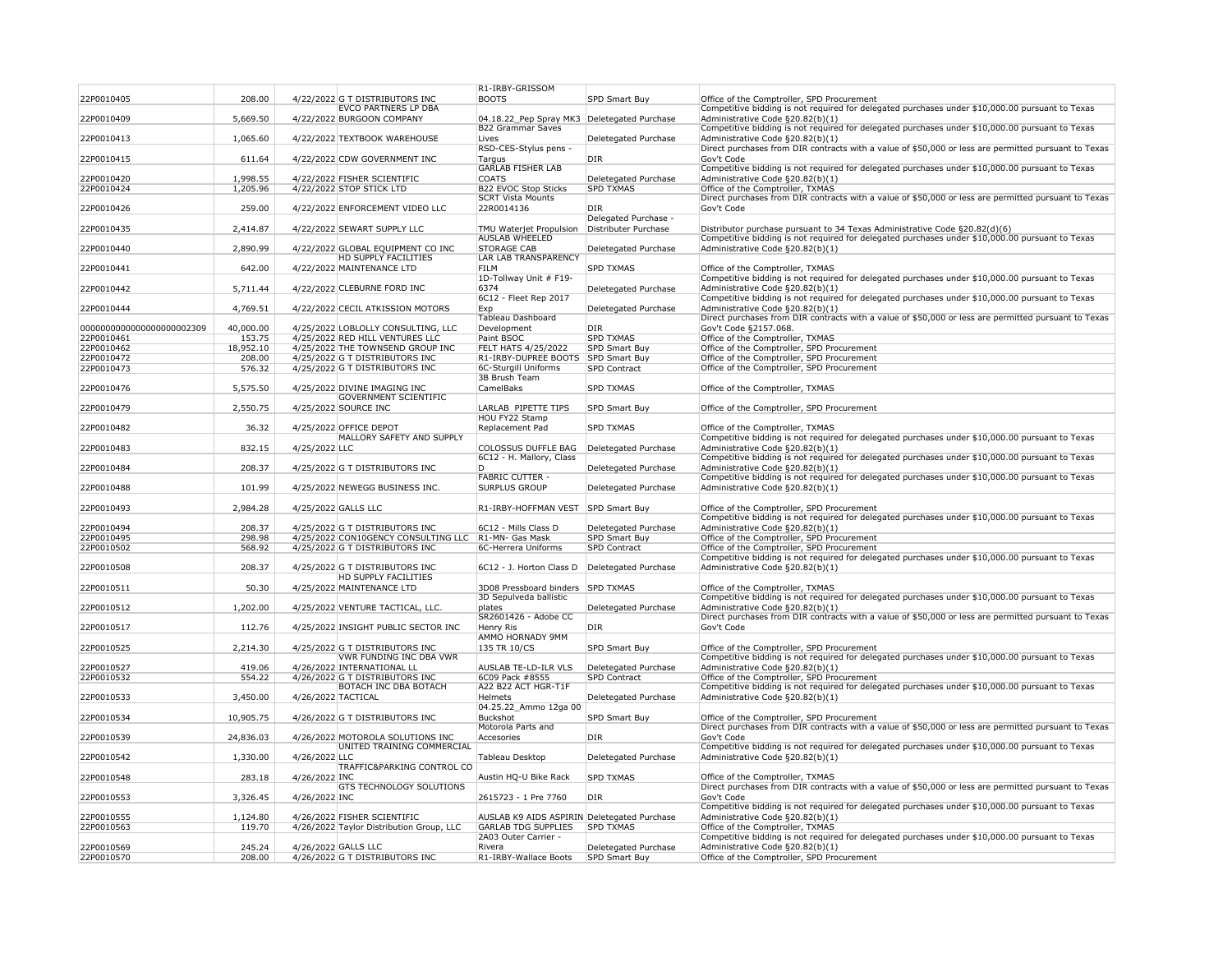|                           |                  |                                                       | R1-IRBY-GRISSOM                                  |                             |                                                                                                                                                                               |
|---------------------------|------------------|-------------------------------------------------------|--------------------------------------------------|-----------------------------|-------------------------------------------------------------------------------------------------------------------------------------------------------------------------------|
| 22P0010405                | 208.00           | 4/22/2022 G T DISTRIBUTORS INC                        | <b>BOOTS</b>                                     | SPD Smart Buy               | Office of the Comptroller, SPD Procurement                                                                                                                                    |
|                           |                  | <b>EVCO PARTNERS LP DBA</b>                           |                                                  |                             | Competitive bidding is not required for delegated purchases under \$10,000.00 pursuant to Texas                                                                               |
| 22P0010409                | 5,669.50         | 4/22/2022 BURGOON COMPANY                             | 04.18.22_Pep Spray MK3                           | Deletegated Purchase        | Administrative Code §20.82(b)(1)                                                                                                                                              |
|                           |                  |                                                       | <b>B22 Grammar Saves</b>                         |                             | Competitive bidding is not required for delegated purchases under \$10,000.00 pursuant to Texas                                                                               |
| 22P0010413                | 1,065.60         | 4/22/2022 TEXTBOOK WAREHOUSE                          | Lives                                            | Deletegated Purchase        | Administrative Code §20.82(b)(1)                                                                                                                                              |
|                           |                  |                                                       | RSD-CES-Stylus pens -                            |                             | Direct purchases from DIR contracts with a value of \$50,000 or less are permitted pursuant to Texas                                                                          |
| 22P0010415                | 611.64           | 4/22/2022 CDW GOVERNMENT INC                          | Targus                                           | DIR                         | Gov't Code                                                                                                                                                                    |
|                           |                  |                                                       | <b>GARLAB FISHER LAB</b>                         |                             | Competitive bidding is not required for delegated purchases under \$10,000.00 pursuant to Texas                                                                               |
| 22P0010420                | 1,998.55         | 4/22/2022 FISHER SCIENTIFIC                           | <b>COATS</b>                                     | Deletegated Purchase        | Administrative Code §20.82(b)(1)                                                                                                                                              |
| 22P0010424                | 1,205.96         | 4/22/2022 STOP STICK LTD                              | <b>B22 EVOC Stop Sticks</b>                      | <b>SPD TXMAS</b>            | Office of the Comptroller, TXMAS                                                                                                                                              |
|                           |                  |                                                       | <b>SCRT Vista Mounts</b>                         |                             | Direct purchases from DIR contracts with a value of \$50,000 or less are permitted pursuant to Texas                                                                          |
| 22P0010426                | 259.00           | 4/22/2022 ENFORCEMENT VIDEO LLC                       | 22R0014136                                       | DIR<br>Delegated Purchase - | Gov't Code                                                                                                                                                                    |
|                           |                  |                                                       |                                                  | Distributer Purchase        |                                                                                                                                                                               |
| 22P0010435                | 2,414.87         | 4/22/2022 SEWART SUPPLY LLC                           | TMU Waterjet Propulsion<br><b>AUSLAB WHEELED</b> |                             | Distributor purchase pursuant to 34 Texas Administrative Code §20.82(d)(6)<br>Competitive bidding is not required for delegated purchases under \$10,000.00 pursuant to Texas |
| 22P0010440                | 2,890.99         | 4/22/2022 GLOBAL EQUIPMENT CO INC                     | <b>STORAGE CAB</b>                               | Deletegated Purchase        | Administrative Code §20.82(b)(1)                                                                                                                                              |
|                           |                  | <b>HD SUPPLY FACILITIES</b>                           | <b>LAR LAB TRANSPARENCY</b>                      |                             |                                                                                                                                                                               |
| 22P0010441                | 642.00           | 4/22/2022 MAINTENANCE LTD                             | <b>FILM</b>                                      | <b>SPD TXMAS</b>            | Office of the Comptroller, TXMAS                                                                                                                                              |
|                           |                  |                                                       | 1D-Tollway Unit # F19-                           |                             | Competitive bidding is not required for delegated purchases under \$10,000.00 pursuant to Texas                                                                               |
| 22P0010442                | 5,711.44         | 4/22/2022 CLEBURNE FORD INC                           | 6374                                             | Deletegated Purchase        | Administrative Code §20.82(b)(1)                                                                                                                                              |
|                           |                  |                                                       | 6C12 - Fleet Rep 2017                            |                             | Competitive bidding is not required for delegated purchases under \$10,000.00 pursuant to Texas                                                                               |
| 22P0010444                | 4,769.51         | 4/22/2022 CECIL ATKISSION MOTORS                      | Exp                                              | Deletegated Purchase        | Administrative Code §20.82(b)(1)                                                                                                                                              |
|                           |                  |                                                       | <b>Tableau Dashboard</b>                         |                             | Direct purchases from DIR contracts with a value of \$50,000 or less are permitted pursuant to Texas                                                                          |
| 0000000000000000000002309 | 40,000.00        | 4/25/2022 LOBLOLLY CONSULTING, LLC                    | Development                                      | DIR                         | Gov't Code §2157.068.                                                                                                                                                         |
| 22P0010461                | 153.75           | 4/25/2022 RED HILL VENTURES LLC                       | Paint BSOC                                       | <b>SPD TXMAS</b>            | Office of the Comptroller, TXMAS                                                                                                                                              |
| 22P0010462                | 18,952.10        | 4/25/2022 THE TOWNSEND GROUP INC                      | <b>FELT HATS 4/25/2022</b>                       | <b>SPD Smart Buy</b>        | Office of the Comptroller, SPD Procurement                                                                                                                                    |
| 22P0010472                | 208.00           | 4/25/2022 G T DISTRIBUTORS INC                        | R1-IRBY-DUPREE BOOTS                             | <b>SPD Smart Buy</b>        | Office of the Comptroller, SPD Procurement                                                                                                                                    |
| 22P0010473                | 576.32           | 4/25/2022 G T DISTRIBUTORS INC                        | 6C-Sturgill Uniforms                             | <b>SPD Contract</b>         | Office of the Comptroller, SPD Procurement                                                                                                                                    |
|                           |                  |                                                       | 3B Brush Team                                    |                             |                                                                                                                                                                               |
| 22P0010476                | 5,575.50         | 4/25/2022 DIVINE IMAGING INC                          | CamelBaks                                        | <b>SPD TXMAS</b>            | Office of the Comptroller, TXMAS                                                                                                                                              |
|                           |                  | <b>GOVERNMENT SCIENTIFIC</b>                          |                                                  |                             |                                                                                                                                                                               |
| 22P0010479                | 2,550.75         | 4/25/2022 SOURCE INC                                  | LARLAB PIPETTE TIPS                              | SPD Smart Buy               | Office of the Comptroller, SPD Procurement                                                                                                                                    |
|                           |                  |                                                       | <b>HOU FY22 Stamp</b>                            |                             |                                                                                                                                                                               |
| 22P0010482                | 36.32            | 4/25/2022 OFFICE DEPOT<br>MALLORY SAFETY AND SUPPLY   | Replacement Pad                                  | <b>SPD TXMAS</b>            | Office of the Comptroller, TXMAS<br>Competitive bidding is not required for delegated purchases under \$10,000.00 pursuant to Texas                                           |
| 22P0010483                | 832.15           | 4/25/2022 LLC                                         | <b>COLOSSUS DUFFLE BAG</b>                       | Deletegated Purchase        | Administrative Code §20.82(b)(1)                                                                                                                                              |
|                           |                  |                                                       | 6C12 - H. Mallory, Class                         |                             | Competitive bidding is not required for delegated purchases under \$10,000.00 pursuant to Texas                                                                               |
| 22P0010484                | 208.37           | 4/25/2022 G T DISTRIBUTORS INC                        | D                                                | Deletegated Purchase        | Administrative Code §20.82(b)(1)                                                                                                                                              |
|                           |                  |                                                       | <b>FABRIC CUTTER -</b>                           |                             | Competitive bidding is not required for delegated purchases under \$10,000.00 pursuant to Texas                                                                               |
| 22P0010488                | 101.99           | 4/25/2022 NEWEGG BUSINESS INC.                        | <b>SURPLUS GROUP</b>                             | Deletegated Purchase        | Administrative Code §20.82(b)(1)                                                                                                                                              |
|                           |                  |                                                       |                                                  |                             |                                                                                                                                                                               |
| 22P0010493                | 2,984.28         | 4/25/2022 GALLS LLC                                   | R1-IRBY-HOFFMAN VEST                             | SPD Smart Buy               | Office of the Comptroller, SPD Procurement                                                                                                                                    |
|                           |                  |                                                       |                                                  |                             | Competitive bidding is not required for delegated purchases under \$10,000.00 pursuant to Texas                                                                               |
| 22P0010494                | 208.37           | 4/25/2022 G T DISTRIBUTORS INC                        | 6C12 - Mills Class D                             | Deletegated Purchase        | Administrative Code §20.82(b)(1)                                                                                                                                              |
| 22P0010495                | 298.98           | 4/25/2022 CON10GENCY CONSULTING LLC                   | R1-MN- Gas Mask                                  | <b>SPD Smart Buy</b>        | Office of the Comptroller, SPD Procurement                                                                                                                                    |
| 22P0010502                | 568.92           | 4/25/2022 G T DISTRIBUTORS INC                        | 6C-Herrera Uniforms                              | <b>SPD Contract</b>         | Office of the Comptroller, SPD Procurement                                                                                                                                    |
|                           |                  |                                                       |                                                  |                             | Competitive bidding is not required for delegated purchases under \$10,000.00 pursuant to Texas                                                                               |
| 22P0010508                | 208.37           | 4/25/2022 G T DISTRIBUTORS INC                        | 6C12 - J. Horton Class D                         | Deletegated Purchase        | Administrative Code §20.82(b)(1)                                                                                                                                              |
|                           |                  | <b>HD SUPPLY FACILITIES</b>                           |                                                  |                             |                                                                                                                                                                               |
| 22P0010511                | 50.30            | 4/25/2022 MAINTENANCE LTD                             | 3D08 Pressboard binders SPD TXMAS                |                             | Office of the Comptroller, TXMAS                                                                                                                                              |
|                           |                  |                                                       | 3D Sepulveda ballistic                           |                             | Competitive bidding is not required for delegated purchases under \$10,000.00 pursuant to Texas                                                                               |
| 22P0010512                | 1,202.00         | 4/25/2022 VENTURE TACTICAL, LLC.                      | plates                                           | Deletegated Purchase        | Administrative Code §20.82(b)(1)                                                                                                                                              |
|                           |                  |                                                       | SR2601426 - Adobe CC                             |                             | Direct purchases from DIR contracts with a value of \$50,000 or less are permitted pursuant to Texas                                                                          |
| 22P0010517                | 112.76           | 4/25/2022 INSIGHT PUBLIC SECTOR INC                   | Henry Ris                                        | DIR                         | Gov't Code                                                                                                                                                                    |
| 22P0010525                | 2,214.30         | 4/25/2022 G T DISTRIBUTORS INC                        | <b>AMMO HORNADY 9MM</b><br>135 TR 10/CS          | <b>SPD Smart Buy</b>        | Office of the Comptroller, SPD Procurement                                                                                                                                    |
|                           |                  | <b>VWR FUNDING INC DBA VWR</b>                        |                                                  |                             | Competitive bidding is not required for delegated purchases under \$10,000.00 pursuant to Texas                                                                               |
| 22P0010527                | 419.06           | 4/26/2022 INTERNATIONAL LL                            | <b>AUSLAB TE-LD-ILR VLS</b>                      | Deletegated Purchase        | Administrative Code §20.82(b)(1)                                                                                                                                              |
| 22P0010532                | 554.22           | 4/26/2022 G T DISTRIBUTORS INC                        | 6C09 Pack #8555                                  | <b>SPD Contract</b>         | Office of the Comptroller, SPD Procurement                                                                                                                                    |
|                           |                  | <b>BOTACH INC DBA BOTACH</b>                          | A22 B22 ACT HGR-T1F                              |                             | Competitive bidding is not required for delegated purchases under \$10,000.00 pursuant to Texas                                                                               |
| 22P0010533                | 3,450.00         | 4/26/2022 TACTICAL                                    | <b>Helmets</b>                                   | Deletegated Purchase        | Administrative Code §20.82(b)(1)                                                                                                                                              |
|                           |                  |                                                       | 04.25.22_Ammo 12ga 00                            |                             |                                                                                                                                                                               |
| 22P0010534                | 10,905.75        | 4/26/2022 G T DISTRIBUTORS INC                        | <b>Buckshot</b>                                  | <b>SPD Smart Buy</b>        | Office of the Comptroller, SPD Procurement                                                                                                                                    |
|                           |                  |                                                       | Motorola Parts and                               |                             | Direct purchases from DIR contracts with a value of \$50,000 or less are permitted pursuant to Texas                                                                          |
| 22P0010539                | 24,836.03        | 4/26/2022 MOTOROLA SOLUTIONS INC                      | Accesories                                       | DIR                         | Gov't Code                                                                                                                                                                    |
|                           |                  | UNITED TRAINING COMMERCIAL                            |                                                  |                             | Competitive bidding is not required for delegated purchases under \$10,000.00 pursuant to Texas                                                                               |
| 22P0010542                | 1,330.00         | 4/26/2022 LLC                                         | Tableau Desktop                                  | Deletegated Purchase        | Administrative Code §20.82(b)(1)                                                                                                                                              |
|                           |                  | TRAFFIC&PARKING CONTROL CO                            |                                                  |                             |                                                                                                                                                                               |
| 22P0010548                | 283.18           | 4/26/2022 INC                                         | Austin HQ-U Bike Rack                            | <b>SPD TXMAS</b>            | Office of the Comptroller, TXMAS                                                                                                                                              |
|                           |                  | <b>GTS TECHNOLOGY SOLUTIONS</b>                       |                                                  |                             | Direct purchases from DIR contracts with a value of \$50,000 or less are permitted pursuant to Texas                                                                          |
| 22P0010553                | 3,326.45         | 4/26/2022 INC                                         | 2615723 - 1 Pre 7760                             | DIR                         | Gov't Code                                                                                                                                                                    |
|                           |                  |                                                       |                                                  |                             | Competitive bidding is not required for delegated purchases under \$10,000.00 pursuant to Texas                                                                               |
| 22P0010555                | 1,124.80         | 4/26/2022 FISHER SCIENTIFIC                           | AUSLAB K9 AIDS ASPIRIN Deletegated Purchase      |                             | Administrative Code §20.82(b)(1)                                                                                                                                              |
| 22P0010563                | 119.70           | 4/26/2022 Taylor Distribution Group, LLC              | <b>GARLAB TDG SUPPLIES</b>                       | <b>SPD TXMAS</b>            | Office of the Comptroller, TXMAS                                                                                                                                              |
|                           |                  |                                                       | 2A03 Outer Carrier -                             | Deletegated Purchase        | Competitive bidding is not required for delegated purchases under \$10,000.00 pursuant to Texas                                                                               |
| 22P0010569<br>22P0010570  | 245.24<br>208.00 | 4/26/2022 GALLS LLC<br>4/26/2022 G T DISTRIBUTORS INC | Rivera<br>R1-IRBY-Wallace Boots                  | <b>SPD Smart Buy</b>        | Administrative Code §20.82(b)(1)<br>Office of the Comptroller, SPD Procurement                                                                                                |
|                           |                  |                                                       |                                                  |                             |                                                                                                                                                                               |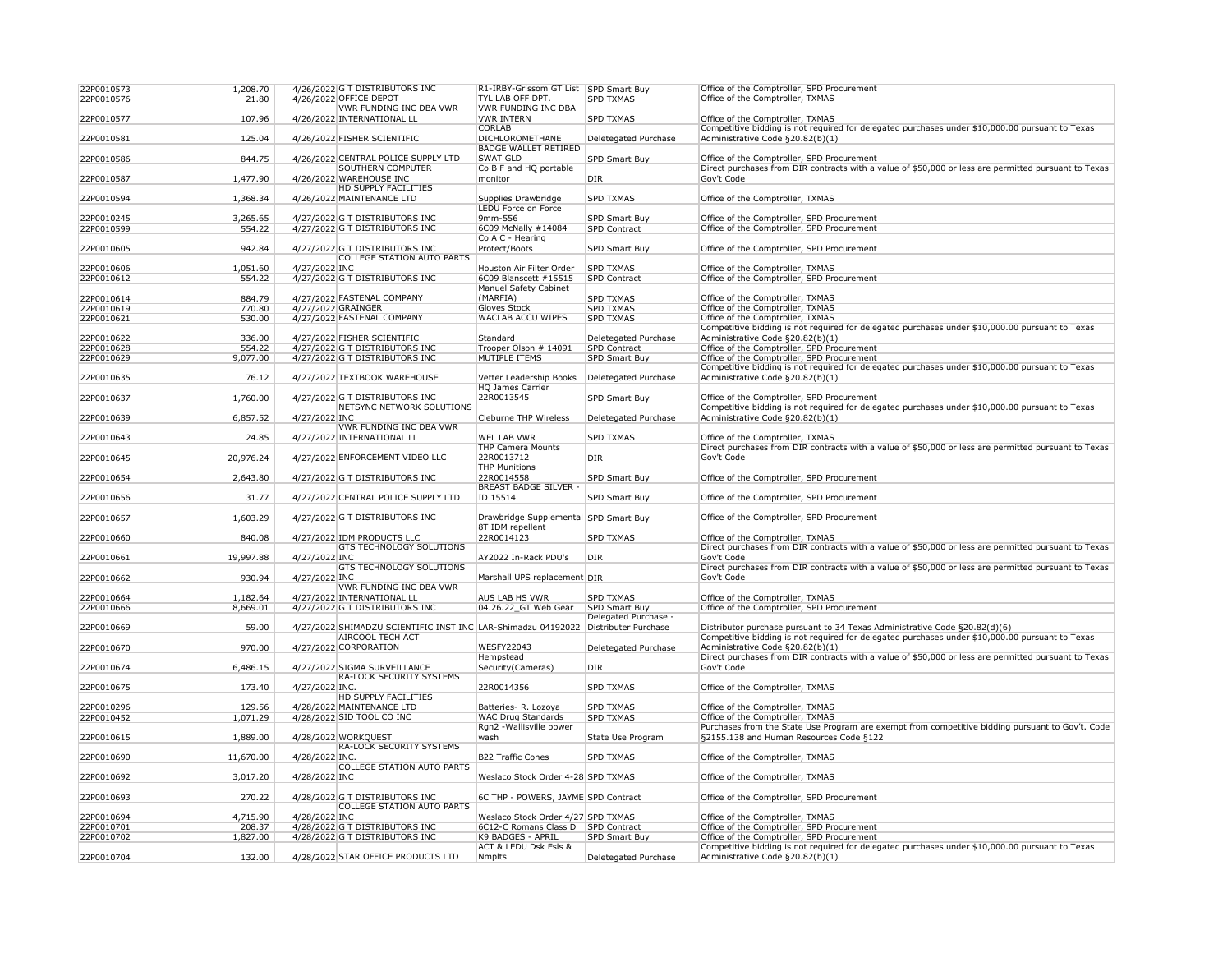| 22P0010573<br>22P0010576 | 1,208.70<br>21.80 |                    | 4/26/2022 G T DISTRIBUTORS INC<br>4/26/2022 OFFICE DEPOT            | R1-IRBY-Grissom GT List SPD Smart Buy<br><b>TYL LAB OFF DPT.</b> | <b>SPD TXMAS</b>                             | Office of the Comptroller, SPD Procurement<br>Office of the Comptroller, TXMAS                                                                |
|--------------------------|-------------------|--------------------|---------------------------------------------------------------------|------------------------------------------------------------------|----------------------------------------------|-----------------------------------------------------------------------------------------------------------------------------------------------|
|                          |                   |                    | <b>VWR FUNDING INC DBA VWR</b>                                      | <b>VWR FUNDING INC DBA</b>                                       |                                              |                                                                                                                                               |
| 22P0010577               | 107.96            |                    | 4/26/2022 INTERNATIONAL LL                                          | <b>VWR INTERN</b>                                                | <b>SPD TXMAS</b>                             | Office of the Comptroller, TXMAS                                                                                                              |
| 22P0010581               | 125.04            |                    | 4/26/2022 FISHER SCIENTIFIC                                         | <b>CORLAB</b><br><b>DICHLOROMETHANE</b>                          | Deletegated Purchase                         | Competitive bidding is not required for delegated purchases under \$10,000.00 pursuant to Texas<br>Administrative Code §20.82(b)(1)           |
| 22P0010586               | 844.75            |                    | 4/26/2022 CENTRAL POLICE SUPPLY LTD                                 | <b>BADGE WALLET RETIRED</b><br><b>SWAT GLD</b>                   | <b>SPD Smart Buy</b>                         | Office of the Comptroller, SPD Procurement                                                                                                    |
| 22P0010587               | 1,477.90          |                    | <b>SOUTHERN COMPUTER</b><br>4/26/2022 WAREHOUSE INC                 | Co B F and HQ portable<br>monitor                                | DIR                                          | Direct purchases from DIR contracts with a value of \$50,000 or less are permitted pursuant to Texas<br>Gov't Code                            |
| 22P0010594               | 1,368.34          |                    | <b>HD SUPPLY FACILITIES</b><br>4/26/2022 MAINTENANCE LTD            | Supplies Drawbridge                                              | <b>SPD TXMAS</b>                             | Office of the Comptroller, TXMAS                                                                                                              |
| 22P0010245               | 3,265.65          |                    | 4/27/2022 G T DISTRIBUTORS INC                                      | <b>LEDU Force on Force</b><br>9mm-556                            | <b>SPD Smart Buy</b>                         | Office of the Comptroller, SPD Procurement                                                                                                    |
| 22P0010599               | 554.22            |                    | 4/27/2022 G T DISTRIBUTORS INC                                      | 6C09 McNally #14084                                              | <b>SPD Contract</b>                          | Office of the Comptroller, SPD Procurement                                                                                                    |
| 22P0010605               | 942.84            |                    | 4/27/2022 G T DISTRIBUTORS INC<br><b>COLLEGE STATION AUTO PARTS</b> | Co A C - Hearing<br>Protect/Boots                                | SPD Smart Buy                                | Office of the Comptroller, SPD Procurement                                                                                                    |
| 22P0010606               | 1,051.60          | 4/27/2022 INC      |                                                                     | Houston Air Filter Order                                         | <b>SPD TXMAS</b>                             | Office of the Comptroller, TXMAS                                                                                                              |
| 22P0010612               | 554.22            |                    | 4/27/2022 G T DISTRIBUTORS INC                                      | 6C09 Blanscett #15515<br><b>Manuel Safety Cabinet</b>            | <b>SPD Contract</b>                          | Office of the Comptroller, SPD Procurement                                                                                                    |
| 22P0010614               | 884.79            |                    | 4/27/2022 FASTENAL COMPANY                                          | (MARFIA)                                                         | <b>SPD TXMAS</b>                             | Office of the Comptroller, TXMAS                                                                                                              |
| 22P0010619               | 770.80            | 4/27/2022 GRAINGER |                                                                     | Gloves Stock                                                     | <b>SPD TXMAS</b>                             | Office of the Comptroller, TXMAS                                                                                                              |
| 22P0010621               | 530.00            |                    | 4/27/2022 FASTENAL COMPANY                                          | <b>WACLAB ACCU WIPES</b>                                         | <b>SPD TXMAS</b>                             | Office of the Comptroller, TXMAS                                                                                                              |
|                          |                   |                    |                                                                     |                                                                  |                                              | Competitive bidding is not required for delegated purchases under \$10,000.00 pursuant to Texas                                               |
| 22P0010622               | 336.00            |                    | 4/27/2022 FISHER SCIENTIFIC                                         | Standard                                                         | Deletegated Purchase                         | Administrative Code §20.82(b)(1)                                                                                                              |
| 22P0010628               | 554.22            |                    | 4/27/2022 G T DISTRIBUTORS INC                                      | Trooper Olson # 14091                                            | <b>SPD Contract</b>                          | Office of the Comptroller, SPD Procurement                                                                                                    |
| 22P0010629               | 9,077.00          |                    | 4/27/2022 G T DISTRIBUTORS INC                                      | MUTIPLE ITEMS                                                    | SPD Smart Buy                                | Office of the Comptroller, SPD Procurement                                                                                                    |
| 22P0010635               | 76.12             |                    | 4/27/2022 TEXTBOOK WAREHOUSE                                        | Vetter Leadership Books<br><b>HQ James Carrier</b>               | Deletegated Purchase                         | Competitive bidding is not required for delegated purchases under \$10,000.00 pursuant to Texas<br>Administrative Code §20.82(b)(1)           |
| 22P0010637               | 1,760.00          |                    | 4/27/2022 G T DISTRIBUTORS INC                                      | 22R0013545                                                       | <b>SPD Smart Buy</b>                         | Office of the Comptroller, SPD Procurement                                                                                                    |
| 22P0010639               | 6,857.52          | 4/27/2022 INC      | NETSYNC NETWORK SOLUTIONS                                           | <b>Cleburne THP Wireless</b>                                     | Deletegated Purchase                         | Competitive bidding is not required for delegated purchases under \$10,000.00 pursuant to Texas<br>Administrative Code §20.82(b)(1)           |
| 22P0010643               | 24.85             |                    | <b>VWR FUNDING INC DBA VWR</b><br>4/27/2022 INTERNATIONAL LL        | <b>WEL LAB VWR</b>                                               | <b>SPD TXMAS</b>                             | Office of the Comptroller, TXMAS                                                                                                              |
| 22P0010645               | 20,976.24         |                    | 4/27/2022 ENFORCEMENT VIDEO LLC                                     | <b>THP Camera Mounts</b><br>22R0013712                           | DIR                                          | Direct purchases from DIR contracts with a value of \$50,000 or less are permitted pursuant to Texas<br>Gov't Code                            |
| 22P0010654               | 2,643.80          |                    | 4/27/2022 G T DISTRIBUTORS INC                                      | <b>THP Munitions</b><br>22R0014558                               | <b>SPD Smart Buy</b>                         | Office of the Comptroller, SPD Procurement                                                                                                    |
|                          |                   |                    |                                                                     | <b>BREAST BADGE SILVER -</b>                                     |                                              |                                                                                                                                               |
| 22P0010656               | 31.77             |                    | 4/27/2022 CENTRAL POLICE SUPPLY LTD                                 | ID 15514                                                         | <b>SPD Smart Buy</b>                         | Office of the Comptroller, SPD Procurement                                                                                                    |
| 22P0010657               | 1,603.29          |                    | 4/27/2022 G T DISTRIBUTORS INC                                      | Drawbridge Supplemental SPD Smart Buy<br>8T IDM repellent        |                                              | Office of the Comptroller, SPD Procurement                                                                                                    |
| 22P0010660               | 840.08            |                    | 4/27/2022 IDM PRODUCTS LLC                                          | 22R0014123                                                       | <b>SPD TXMAS</b>                             | Office of the Comptroller, TXMAS                                                                                                              |
| 22P0010661               | 19,997.88         | 4/27/2022 INC      | <b>GTS TECHNOLOGY SOLUTIONS</b>                                     | AY2022 In-Rack PDU's                                             | DIR                                          | Direct purchases from DIR contracts with a value of \$50,000 or less are permitted pursuant to Texas<br>Gov't Code                            |
|                          |                   |                    | <b>GTS TECHNOLOGY SOLUTIONS</b>                                     |                                                                  |                                              | Direct purchases from DIR contracts with a value of \$50,000 or less are permitted pursuant to Texas                                          |
| 22P0010662               | 930.94            | 4/27/2022 INC      | <b>VWR FUNDING INC DBA VWR</b>                                      | Marshall UPS replacement DIR                                     |                                              | Gov't Code                                                                                                                                    |
| 22P0010664               | 1,182.64          |                    | 4/27/2022 INTERNATIONAL LL                                          | <b>AUS LAB HS VWR</b>                                            | <b>SPD TXMAS</b>                             | Office of the Comptroller, TXMAS                                                                                                              |
| 22P0010666               | 8,669.01          |                    | 4/27/2022 G T DISTRIBUTORS INC                                      | 04.26.22_GT Web Gear                                             | SPD Smart Buy                                | Office of the Comptroller, SPD Procurement                                                                                                    |
| 22P0010669               | 59.00             |                    | 4/27/2022 SHIMADZU SCIENTIFIC INST INC LAR-Shimadzu 04192022        |                                                                  | Delegated Purchase -<br>Distributer Purchase | Distributor purchase pursuant to 34 Texas Administrative Code §20.82(d)(6)                                                                    |
|                          |                   |                    | <b>AIRCOOL TECH ACT</b>                                             | <b>WESFY22043</b>                                                |                                              | Competitive bidding is not required for delegated purchases under \$10,000.00 pursuant to Texas<br>Administrative Code §20.82(b)(1)           |
| 22P0010670               | 970.00            |                    | 4/27/2022 CORPORATION                                               | Hempstead                                                        | Deletegated Purchase                         | Direct purchases from DIR contracts with a value of \$50,000 or less are permitted pursuant to Texas                                          |
| 22P0010674               | 6,486.15          |                    | 4/27/2022 SIGMA SURVEILLANCE                                        | Security (Cameras)                                               | DIR                                          | Gov't Code                                                                                                                                    |
| 22P0010675               | 173.40            | 4/27/2022 INC.     | <b>RA-LOCK SECURITY SYSTEMS</b>                                     | 22R0014356                                                       | <b>SPD TXMAS</b>                             | Office of the Comptroller, TXMAS                                                                                                              |
|                          |                   |                    | <b>HD SUPPLY FACILITIES</b>                                         |                                                                  |                                              |                                                                                                                                               |
| 22P0010296               | 129.56            |                    | 4/28/2022 MAINTENANCE LTD                                           | Batteries- R. Lozoya                                             | <b>SPD TXMAS</b>                             | Office of the Comptroller, TXMAS                                                                                                              |
| 22P0010452               | 1,071.29          |                    | 4/28/2022 SID TOOL CO INC                                           | <b>WAC Drug Standards</b><br>Rgn2 - Wallisville power            | <b>SPD TXMAS</b>                             | Office of the Comptroller, TXMAS<br>Purchases from the State Use Program are exempt from competitive bidding pursuant to Gov't. Code          |
| 22P0010615               | 1,889.00          |                    | 4/28/2022 WORKQUEST                                                 | wash                                                             | State Use Program                            | §2155.138 and Human Resources Code §122                                                                                                       |
| 22P0010690               | 11,670.00         | 4/28/2022 INC.     | <b>RA-LOCK SECURITY SYSTEMS</b>                                     | <b>B22 Traffic Cones</b>                                         | <b>SPD TXMAS</b>                             | Office of the Comptroller, TXMAS                                                                                                              |
| 22P0010692               | 3,017.20          | 4/28/2022 INC      | <b>COLLEGE STATION AUTO PARTS</b>                                   | Weslaco Stock Order 4-28 SPD TXMAS                               |                                              | Office of the Comptroller, TXMAS                                                                                                              |
|                          |                   |                    |                                                                     |                                                                  |                                              |                                                                                                                                               |
| 22P0010693               | 270.22            |                    | 4/28/2022 G T DISTRIBUTORS INC<br><b>COLLEGE STATION AUTO PARTS</b> | 6C THP - POWERS, JAYME SPD Contract                              |                                              | Office of the Comptroller, SPD Procurement                                                                                                    |
| 22P0010694               | 4,715.90          | 4/28/2022 INC      |                                                                     | Weslaco Stock Order 4/27 SPD TXMAS                               |                                              | Office of the Comptroller, TXMAS                                                                                                              |
| 22P0010701               | 208.37            |                    | 4/28/2022 G T DISTRIBUTORS INC                                      | 6C12-C Romans Class D SPD Contract                               |                                              | Office of the Comptroller, SPD Procurement                                                                                                    |
| 22P0010702               | 1,827.00          |                    | 4/28/2022 G T DISTRIBUTORS INC                                      | K9 BADGES - APRIL<br><b>ACT &amp; LEDU Dsk Esls &amp;</b>        | SPD Smart Buy                                | Office of the Comptroller, SPD Procurement<br>Competitive bidding is not required for delegated purchases under \$10,000.00 pursuant to Texas |
| 22P0010704               | 132.00            |                    | 4/28/2022 STAR OFFICE PRODUCTS LTD                                  | Nmplts                                                           | Deletegated Purchase                         | Administrative Code §20.82(b)(1)                                                                                                              |
|                          |                   |                    |                                                                     |                                                                  |                                              |                                                                                                                                               |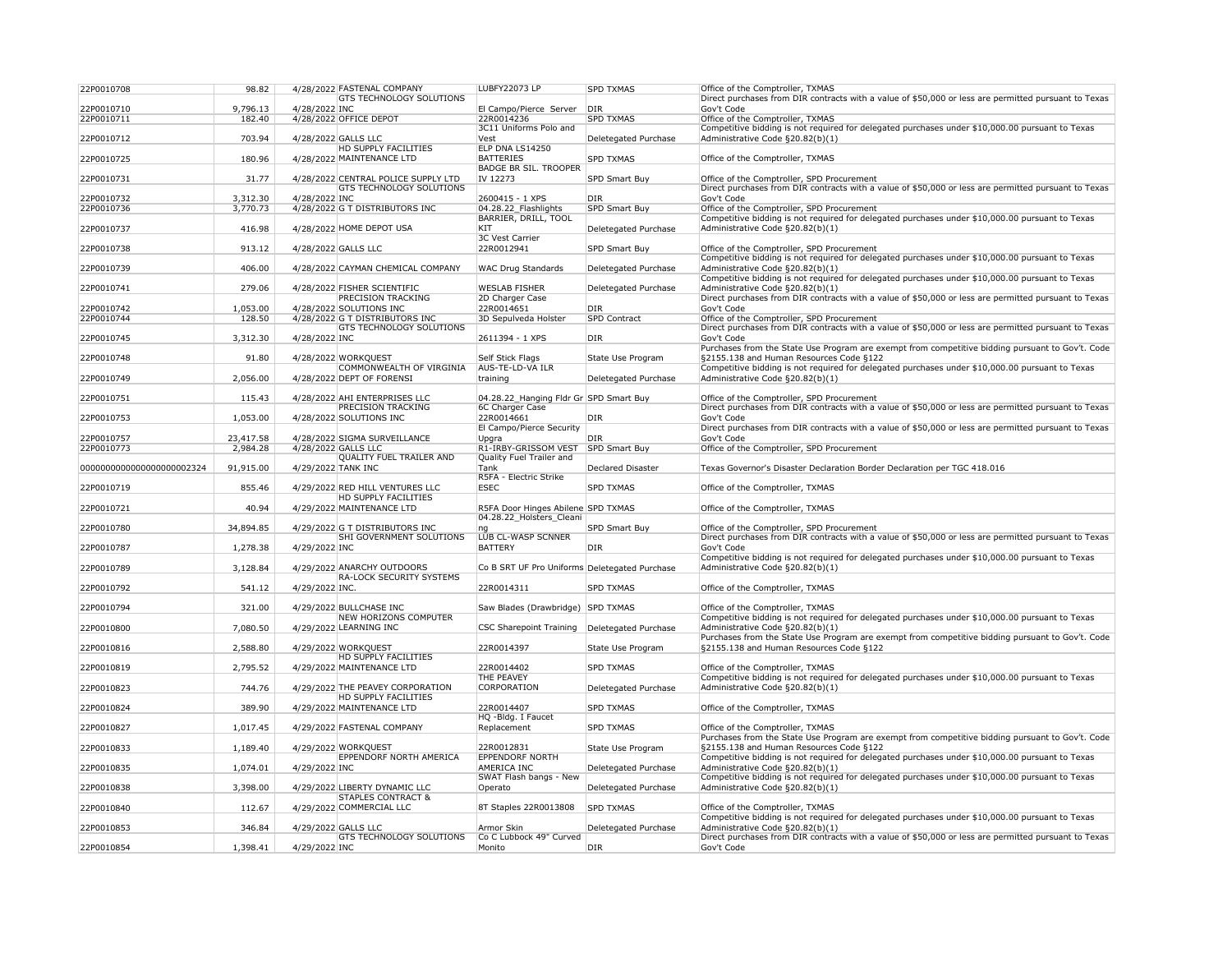| 22P0010708                | 98.82     |                    | 4/28/2022 FASTENAL COMPANY          | LUBFY22073 LP                                 | <b>SPD TXMAS</b>     | Office of the Comptroller, TXMAS                                                                     |
|---------------------------|-----------|--------------------|-------------------------------------|-----------------------------------------------|----------------------|------------------------------------------------------------------------------------------------------|
|                           |           |                    | <b>GTS TECHNOLOGY SOLUTIONS</b>     |                                               |                      | Direct purchases from DIR contracts with a value of \$50,000 or less are permitted pursuant to Texas |
| 22P0010710                | 9,796.13  | 4/28/2022 INC      |                                     | El Campo/Pierce Server                        | DIR                  | Gov't Code                                                                                           |
| 22P0010711                | 182.40    |                    | 4/28/2022 OFFICE DEPOT              | 22R0014236                                    | <b>SPD TXMAS</b>     | Office of the Comptroller, TXMAS                                                                     |
|                           |           |                    |                                     | 3C11 Uniforms Polo and                        |                      | Competitive bidding is not required for delegated purchases under \$10,000.00 pursuant to Texas      |
| 22P0010712                | 703.94    |                    | 4/28/2022 GALLS LLC                 | Vest                                          | Deletegated Purchase | Administrative Code §20.82(b)(1)                                                                     |
|                           |           |                    | <b>HD SUPPLY FACILITIES</b>         | ELP DNA LS14250                               |                      |                                                                                                      |
| 22P0010725                | 180.96    |                    | 4/28/2022 MAINTENANCE LTD           | <b>BATTERIES</b>                              | <b>SPD TXMAS</b>     | Office of the Comptroller, TXMAS                                                                     |
|                           |           |                    |                                     | <b>BADGE BR SIL. TROOPER</b>                  |                      |                                                                                                      |
| 22P0010731                | 31.77     |                    | 4/28/2022 CENTRAL POLICE SUPPLY LTD | IV 12273                                      | SPD Smart Buy        | Office of the Comptroller, SPD Procurement                                                           |
|                           |           |                    | <b>GTS TECHNOLOGY SOLUTIONS</b>     |                                               |                      | Direct purchases from DIR contracts with a value of \$50,000 or less are permitted pursuant to Texas |
| 22P0010732                | 3,312.30  | 4/28/2022 INC      |                                     | 2600415 - 1 XPS                               | DIR                  | Gov't Code                                                                                           |
| 22P0010736                | 3,770.73  |                    | 4/28/2022 G T DISTRIBUTORS INC      | 04.28.22 Flashlights                          | SPD Smart Buy        | Office of the Comptroller, SPD Procurement                                                           |
|                           |           |                    |                                     | BARRIER, DRILL, TOOL                          |                      | Competitive bidding is not required for delegated purchases under \$10,000.00 pursuant to Texas      |
| 22P0010737                | 416.98    |                    | 4/28/2022 HOME DEPOT USA            | KIT                                           | Deletegated Purchase | Administrative Code §20.82(b)(1)                                                                     |
|                           |           |                    |                                     | 3C Vest Carrier                               |                      |                                                                                                      |
| 22P0010738                | 913.12    |                    | 4/28/2022 GALLS LLC                 | 22R0012941                                    | <b>SPD Smart Buy</b> | Office of the Comptroller, SPD Procurement                                                           |
|                           |           |                    |                                     |                                               |                      | Competitive bidding is not required for delegated purchases under \$10,000.00 pursuant to Texas      |
| 22P0010739                | 406.00    |                    | 4/28/2022 CAYMAN CHEMICAL COMPANY   | <b>WAC Drug Standards</b>                     | Deletegated Purchase | Administrative Code §20.82(b)(1)                                                                     |
|                           |           |                    |                                     |                                               |                      | Competitive bidding is not required for delegated purchases under \$10,000.00 pursuant to Texas      |
| 22P0010741                | 279.06    |                    | 4/28/2022 FISHER SCIENTIFIC         | <b>WESLAB FISHER</b>                          | Deletegated Purchase | Administrative Code §20.82(b)(1)                                                                     |
|                           |           |                    | <b>PRECISION TRACKING</b>           | 2D Charger Case                               |                      | Direct purchases from DIR contracts with a value of \$50,000 or less are permitted pursuant to Texas |
| 22P0010742                | 1,053.00  |                    | 4/28/2022 SOLUTIONS INC             | 22R0014651                                    | DIR                  | Gov't Code                                                                                           |
| 22P0010744                | 128.50    |                    | 4/28/2022 G T DISTRIBUTORS INC      | 3D Sepulveda Holster                          | <b>SPD Contract</b>  | Office of the Comptroller, SPD Procurement                                                           |
|                           |           |                    | <b>GTS TECHNOLOGY SOLUTIONS</b>     |                                               |                      | Direct purchases from DIR contracts with a value of \$50,000 or less are permitted pursuant to Texas |
| 22P0010745                | 3,312.30  | 4/28/2022 INC      |                                     | 2611394 - 1 XPS                               | DIR                  | Gov't Code                                                                                           |
|                           |           |                    |                                     |                                               |                      | Purchases from the State Use Program are exempt from competitive bidding pursuant to Gov't. Code     |
| 22P0010748                | 91.80     |                    | 4/28/2022 WORKQUEST                 | Self Stick Flags                              | State Use Program    | §2155.138 and Human Resources Code §122                                                              |
|                           |           |                    | COMMONWEALTH OF VIRGINIA            | <b>AUS-TE-LD-VA ILR</b>                       |                      | Competitive bidding is not required for delegated purchases under \$10,000.00 pursuant to Texas      |
| 22P0010749                | 2,056.00  |                    | 4/28/2022 DEPT OF FORENSI           | training                                      | Deletegated Purchase | Administrative Code §20.82(b)(1)                                                                     |
|                           |           |                    |                                     |                                               |                      |                                                                                                      |
| 22P0010751                | 115.43    |                    | 4/28/2022 AHI ENTERPRISES LLC       | 04.28.22_Hanging Fldr Gr SPD Smart Buy        |                      | Office of the Comptroller, SPD Procurement                                                           |
|                           |           |                    | <b>PRECISION TRACKING</b>           | 6C Charger Case                               |                      | Direct purchases from DIR contracts with a value of \$50,000 or less are permitted pursuant to Texas |
| 22P0010753                | 1,053.00  |                    | 4/28/2022 SOLUTIONS INC             | 22R0014661                                    | DIR                  | Gov't Code                                                                                           |
|                           |           |                    |                                     | El Campo/Pierce Security                      |                      | Direct purchases from DIR contracts with a value of \$50,000 or less are permitted pursuant to Texas |
| 22P0010757                | 23,417.58 |                    | 4/28/2022 SIGMA SURVEILLANCE        | Upgra                                         | <b>DIR</b>           | Gov't Code                                                                                           |
| 22P0010773                | 2,984.28  |                    | 4/28/2022 GALLS LLC                 | R1-IRBY-GRISSOM VEST                          | SPD Smart Buy        | Office of the Comptroller, SPD Procurement                                                           |
|                           |           |                    | <b>QUALITY FUEL TRAILER AND</b>     | Quality Fuel Trailer and                      |                      |                                                                                                      |
| 0000000000000000000002324 | 91,915.00 | 4/29/2022 TANK INC |                                     | <b>Tank</b>                                   | Declared Disaster    | Texas Governor's Disaster Declaration Border Declaration per TGC 418.016                             |
|                           |           |                    |                                     | R5FA - Electric Strike                        |                      |                                                                                                      |
| 22P0010719                | 855.46    |                    | 4/29/2022 RED HILL VENTURES LLC     | <b>ESEC</b>                                   | <b>SPD TXMAS</b>     | Office of the Comptroller, TXMAS                                                                     |
|                           |           |                    | <b>HD SUPPLY FACILITIES</b>         |                                               |                      |                                                                                                      |
| 22P0010721                | 40.94     |                    | 4/29/2022 MAINTENANCE LTD           | R5FA Door Hinges Abilene SPD TXMAS            |                      | Office of the Comptroller, TXMAS                                                                     |
|                           |           |                    |                                     | 04.28.22_Holsters_Cleani                      |                      |                                                                                                      |
| 22P0010780                | 34,894.85 |                    | 4/29/2022 G T DISTRIBUTORS INC      | ng                                            | <b>SPD Smart Buy</b> | Office of the Comptroller, SPD Procurement                                                           |
|                           |           |                    | <b>SHI GOVERNMENT SOLUTIONS</b>     | <b>LUB CL-WASP SCNNER</b>                     |                      | Direct purchases from DIR contracts with a value of \$50,000 or less are permitted pursuant to Texas |
| 22P0010787                | 1,278.38  | 4/29/2022 INC      |                                     | <b>BATTERY</b>                                | DIR                  | Gov't Code                                                                                           |
|                           |           |                    |                                     |                                               |                      | Competitive bidding is not required for delegated purchases under \$10,000.00 pursuant to Texas      |
| 22P0010789                | 3,128.84  |                    | 4/29/2022 ANARCHY OUTDOORS          | Co B SRT UF Pro Uniforms Deletegated Purchase |                      | Administrative Code §20.82(b)(1)                                                                     |
|                           |           |                    | <b>RA-LOCK SECURITY SYSTEMS</b>     |                                               |                      |                                                                                                      |
|                           |           | 4/29/2022 INC.     |                                     | 22R0014311                                    | <b>SPD TXMAS</b>     | Office of the Comptroller, TXMAS                                                                     |
| 22P0010792                | 541.12    |                    |                                     |                                               |                      |                                                                                                      |
|                           |           |                    |                                     |                                               |                      |                                                                                                      |
| 22P0010794                | 321.00    |                    | 4/29/2022 BULLCHASE INC             | Saw Blades (Drawbridge) SPD TXMAS             |                      | Office of the Comptroller, TXMAS                                                                     |
|                           |           |                    | <b>NEW HORIZONS COMPUTER</b>        |                                               |                      | Competitive bidding is not required for delegated purchases under \$10,000.00 pursuant to Texas      |
| 22P0010800                | 7,080.50  |                    | 4/29/2022 LEARNING INC              | <b>CSC Sharepoint Training</b>                | Deletegated Purchase | Administrative Code §20.82(b)(1)                                                                     |
|                           |           |                    |                                     |                                               |                      | Purchases from the State Use Program are exempt from competitive bidding pursuant to Gov't. Code     |
| 22P0010816                | 2,588.80  |                    | 4/29/2022 WORKQUEST                 | 22R0014397                                    | State Use Program    | §2155.138 and Human Resources Code §122                                                              |
|                           |           |                    | <b>HD SUPPLY FACILITIES</b>         |                                               |                      |                                                                                                      |
| 22P0010819                | 2,795.52  |                    | 4/29/2022 MAINTENANCE LTD           | 22R0014402                                    | <b>SPD TXMAS</b>     | Office of the Comptroller, TXMAS                                                                     |
|                           |           |                    |                                     | <b>THE PEAVEY</b>                             |                      | Competitive bidding is not required for delegated purchases under \$10,000.00 pursuant to Texas      |
| 22P0010823                | 744.76    |                    | 4/29/2022 THE PEAVEY CORPORATION    | <b>CORPORATION</b>                            | Deletegated Purchase | Administrative Code §20.82(b)(1)                                                                     |
|                           |           |                    | <b>HD SUPPLY FACILITIES</b>         |                                               |                      |                                                                                                      |
| 22P0010824                | 389.90    |                    | 4/29/2022 MAINTENANCE LTD           | 22R0014407                                    | <b>SPD TXMAS</b>     | Office of the Comptroller, TXMAS                                                                     |
|                           |           |                    |                                     | HQ -Bldg. I Faucet                            |                      |                                                                                                      |
| 22P0010827                | 1,017.45  |                    | 4/29/2022 FASTENAL COMPANY          | Replacement                                   | <b>SPD TXMAS</b>     | Office of the Comptroller, TXMAS                                                                     |
|                           |           |                    |                                     |                                               |                      | Purchases from the State Use Program are exempt from competitive bidding pursuant to Gov't. Code     |
| 22P0010833                | 1,189.40  |                    | 4/29/2022 WORKQUEST                 | 22R0012831                                    | State Use Program    | §2155.138 and Human Resources Code §122                                                              |
|                           |           |                    | <b>EPPENDORF NORTH AMERICA</b>      | <b>EPPENDORF NORTH</b>                        |                      | Competitive bidding is not required for delegated purchases under \$10,000.00 pursuant to Texas      |
| 22P0010835                | 1,074.01  | 4/29/2022 INC      |                                     | AMERICA INC                                   | Deletegated Purchase | Administrative Code §20.82(b)(1)                                                                     |
|                           |           |                    |                                     | SWAT Flash bangs - New                        |                      | Competitive bidding is not required for delegated purchases under \$10,000.00 pursuant to Texas      |
| 22P0010838                | 3,398.00  |                    | 4/29/2022 LIBERTY DYNAMIC LLC       | Operato                                       | Deletegated Purchase | Administrative Code §20.82(b)(1)                                                                     |
|                           |           |                    | <b>STAPLES CONTRACT &amp;</b>       |                                               |                      |                                                                                                      |
| 22P0010840                | 112.67    |                    | 4/29/2022 COMMERCIAL LLC            | 8T Staples 22R0013808                         | <b>SPD TXMAS</b>     | Office of the Comptroller, TXMAS                                                                     |
|                           |           |                    |                                     |                                               |                      | Competitive bidding is not required for delegated purchases under \$10,000.00 pursuant to Texas      |
| 22P0010853                | 346.84    |                    | 4/29/2022 GALLS LLC                 | Armor Skin                                    | Deletegated Purchase | Administrative Code §20.82(b)(1)                                                                     |
|                           |           |                    | <b>GTS TECHNOLOGY SOLUTIONS</b>     | Co C Lubbock 49" Curved                       |                      | Direct purchases from DIR contracts with a value of \$50,000 or less are permitted pursuant to Texas |
| 22P0010854                | 1,398.41  | 4/29/2022 INC      |                                     | Monito                                        | DIR                  | Gov't Code                                                                                           |
|                           |           |                    |                                     |                                               |                      |                                                                                                      |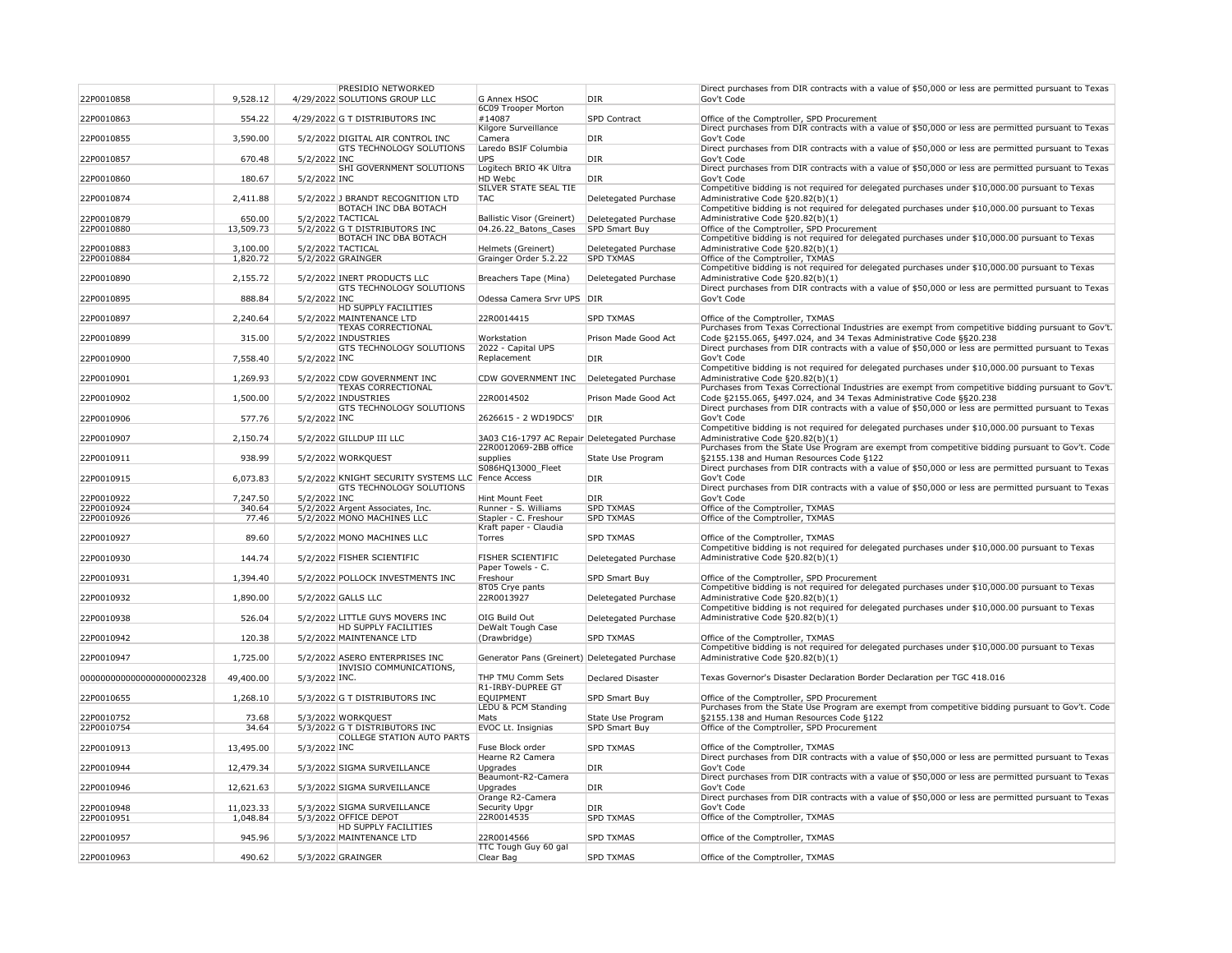| 22P0010858                | 9,528.12  |               | <b>PRESIDIO NETWORKED</b><br>4/29/2022 SOLUTIONS GROUP LLC    | G Annex HSOC                                   | <b>DIR</b>               | Direct<br>Gov't ( |
|---------------------------|-----------|---------------|---------------------------------------------------------------|------------------------------------------------|--------------------------|-------------------|
|                           |           |               |                                                               | 6C09 Trooper Morton                            |                          |                   |
| 22P0010863                | 554.22    |               | 4/29/2022 G T DISTRIBUTORS INC                                | #14087                                         | SPD Contract             | Office            |
|                           |           |               |                                                               | Kilgore Surveillance                           |                          | Direct            |
| 22P0010855                | 3,590.00  |               | 5/2/2022 DIGITAL AIR CONTROL INC                              | Camera                                         | <b>DIR</b>               | Gov't (           |
|                           |           |               | <b>GTS TECHNOLOGY SOLUTIONS</b>                               | Laredo BSIF Columbia                           |                          | Direct            |
| 22P0010857                | 670.48    | 5/2/2022 INC  | <b>SHI GOVERNMENT SOLUTIONS</b>                               | <b>UPS</b><br>Logitech BRIO 4K Ultra           | <b>DIR</b>               | Gov't (<br>Direct |
| 22P0010860                | 180.67    | 5/2/2022 INC  |                                                               | HD Webc                                        | <b>DIR</b>               | Gov't (           |
|                           |           |               |                                                               | <b>SILVER STATE SEAL TIE</b>                   |                          | Compe             |
| 22P0010874                | 2,411.88  |               | 5/2/2022 J BRANDT RECOGNITION LTD                             | <b>TAC</b>                                     | Deletegated Purchase     | Admini            |
|                           |           |               | <b>BOTACH INC DBA BOTACH</b>                                  |                                                |                          | Compe             |
| 22P0010879                | 650.00    |               | 5/2/2022 TACTICAL                                             | <b>Ballistic Visor (Greinert)</b>              | Deletegated Purchase     | Admini            |
| 22P0010880                | 13,509.73 |               | 5/2/2022 G T DISTRIBUTORS INC<br><b>BOTACH INC DBA BOTACH</b> | 04.26.22 Batons Cases                          | <b>SPD Smart Buy</b>     | Office<br>Compe   |
| 22P0010883                | 3,100.00  |               | 5/2/2022 TACTICAL                                             | Helmets (Greinert)                             | Deletegated Purchase     | Admini            |
| 22P0010884                | 1,820.72  |               | 5/2/2022 GRAINGER                                             | Grainger Order 5.2.22                          | <b>SPD TXMAS</b>         | Office            |
|                           |           |               |                                                               |                                                |                          | Compe             |
| 22P0010890                | 2,155.72  |               | 5/2/2022 INERT PRODUCTS LLC                                   | Breachers Tape (Mina)                          | Deletegated Purchase     | Admini            |
|                           |           |               | <b>GTS TECHNOLOGY SOLUTIONS</b>                               |                                                |                          | Direct            |
| 22P0010895                | 888.84    | 5/2/2022 INC  | HD SUPPLY FACILITIES                                          | Odessa Camera Srvr UPS                         | DIR                      | Gov't (           |
| 22P0010897                | 2,240.64  |               | 5/2/2022 MAINTENANCE LTD                                      | 22R0014415                                     | <b>SPD TXMAS</b>         | Office            |
|                           |           |               | <b>TEXAS CORRECTIONAL</b>                                     |                                                |                          | Purcha            |
| 22P0010899                | 315.00    |               | 5/2/2022 INDUSTRIES                                           | Workstation                                    | Prison Made Good Act     | Code $\xi$        |
|                           |           |               | <b>GTS TECHNOLOGY SOLUTIONS</b>                               | 2022 - Capital UPS                             |                          | Direct            |
| 22P0010900                | 7,558.40  | 5/2/2022 INC  |                                                               | Replacement                                    | <b>DIR</b>               | Gov't (           |
|                           |           |               |                                                               |                                                |                          | Compe             |
| 22P0010901                | 1,269.93  |               | 5/2/2022 CDW GOVERNMENT INC<br><b>TEXAS CORRECTIONAL</b>      | CDW GOVERNMENT INC                             | Deletegated Purchase     | Admini<br>Purcha  |
| 22P0010902                | 1,500.00  |               | 5/2/2022 INDUSTRIES                                           | 22R0014502                                     | Prison Made Good Act     | Code $\xi$        |
|                           |           |               | <b>GTS TECHNOLOGY SOLUTIONS</b>                               |                                                |                          | Direct            |
| 22P0010906                | 577.76    | 5/2/2022 INC  |                                                               | 2626615 - 2 WD19DCS'                           | <b>DIR</b>               | Gov't (           |
|                           |           |               |                                                               |                                                |                          | Compe             |
| 22P0010907                | 2,150.74  |               | 5/2/2022 GILLDUP III LLC                                      | 3A03 C16-1797 AC Repair Deletegated Purchase   |                          | Admini            |
| 22P0010911                | 938.99    |               | 5/2/2022 WORKQUEST                                            | 22R0012069-2BB office<br>supplies              | State Use Program        | Purcha<br>§2155   |
|                           |           |               |                                                               | S086HQ13000 Fleet                              |                          | Direct            |
| 22P0010915                | 6,073.83  |               | 5/2/2022 KNIGHT SECURITY SYSTEMS LLC Fence Access             |                                                | <b>DIR</b>               | Gov't (           |
|                           |           |               | <b>GTS TECHNOLOGY SOLUTIONS</b>                               |                                                |                          | Direct            |
| 22P0010922                | 7,247.50  | 5/2/2022 INC  |                                                               | Hint Mount Feet                                | <b>DIR</b>               | Gov't (           |
| 22P0010924                | 340.64    |               | 5/2/2022 Argent Associates, Inc.                              | Runner - S. Williams                           | <b>SPD TXMAS</b>         | Office            |
| 22P0010926                | 77.46     |               | 5/2/2022 MONO MACHINES LLC                                    | Stapler - C. Freshour                          | <b>SPD TXMAS</b>         | Office            |
| 22P0010927                | 89.60     |               | 5/2/2022 MONO MACHINES LLC                                    | Kraft paper - Claudia<br>Torres                | <b>SPD TXMAS</b>         | Office            |
|                           |           |               |                                                               |                                                |                          | Compe             |
| 22P0010930                | 144.74    |               | 5/2/2022 FISHER SCIENTIFIC                                    | FISHER SCIENTIFIC                              | Deletegated Purchase     | Admini            |
|                           |           |               |                                                               | Paper Towels - C.                              |                          |                   |
| 22P0010931                | 1,394.40  |               | 5/2/2022 POLLOCK INVESTMENTS INC                              | Freshour                                       | SPD Smart Buy            | Office            |
|                           |           |               |                                                               | 8T05 Crye pants                                |                          | Compe             |
| 22P0010932                | 1,890.00  |               | 5/2/2022 GALLS LLC                                            | 22R0013927                                     | Deletegated Purchase     | Admini<br>Compe   |
| 22P0010938                | 526.04    |               | 5/2/2022 LITTLE GUYS MOVERS INC                               | OIG Build Out                                  | Deletegated Purchase     | Admini            |
|                           |           |               | <b>HD SUPPLY FACILITIES</b>                                   | DeWalt Tough Case                              |                          |                   |
| 22P0010942                | 120.38    |               | 5/2/2022 MAINTENANCE LTD                                      | (Drawbridge)                                   | <b>SPD TXMAS</b>         | Office            |
|                           |           |               |                                                               |                                                |                          | Compe             |
| 22P0010947                | 1,725.00  |               | 5/2/2022 ASERO ENTERPRISES INC                                | Generator Pans (Greinert) Deletegated Purchase |                          | Admini            |
|                           |           |               | <b>INVISIO COMMUNICATIONS,</b>                                |                                                |                          |                   |
| 0000000000000000000002328 | 49,400.00 | 5/3/2022 INC. |                                                               | THP TMU Comm Sets<br>R1-IRBY-DUPREE GT         | <b>Declared Disaster</b> | Texas             |
| 22P0010655                | 1,268.10  |               | 5/3/2022 G T DISTRIBUTORS INC                                 | <b>EQUIPMENT</b>                               | <b>SPD Smart Buy</b>     | Office            |
|                           |           |               |                                                               | LEDU & PCM Standing                            |                          | Purcha            |
| 22P0010752                | 73.68     |               | 5/3/2022 WORKQUEST                                            | Mats                                           | State Use Program        | §2155             |
| 22P0010754                | 34.64     |               | 5/3/2022 G T DISTRIBUTORS INC                                 | EVOC Lt. Insignias                             | SPD Smart Buy            | Office            |
|                           |           |               | <b>COLLEGE STATION AUTO PARTS</b>                             |                                                |                          |                   |
| 22P0010913                | 13,495.00 | 5/3/2022 INC  |                                                               | Fuse Block order<br>Hearne R2 Camera           | <b>SPD TXMAS</b>         | Office            |
| 22P0010944                | 12,479.34 |               | 5/3/2022 SIGMA SURVEILLANCE                                   | Upgrades                                       | <b>DIR</b>               | Direct<br>Gov't ( |
|                           |           |               |                                                               | Beaumont-R2-Camera                             |                          | Direct            |
| 22P0010946                | 12,621.63 |               | 5/3/2022 SIGMA SURVEILLANCE                                   | Upgrades                                       | <b>DIR</b>               | Gov't (           |
|                           |           |               |                                                               | Orange R2-Camera                               |                          | Direct            |
| 22P0010948                | 11,023.33 |               | 5/3/2022 SIGMA SURVEILLANCE                                   | Security Upgr                                  | DIR                      | Gov't (           |
| 22P0010951                | 1,048.84  |               | 5/3/2022 OFFICE DEPOT                                         | 22R0014535                                     | <b>SPD TXMAS</b>         | Office            |
|                           |           |               | <b>HD SUPPLY FACILITIES</b>                                   |                                                |                          |                   |
| 22P0010957                | 945.96    |               | 5/3/2022 MAINTENANCE LTD                                      | 22R0014566                                     | <b>SPD TXMAS</b>         | Office            |
| 22P0010963                | 490.62    |               | 5/3/2022 GRAINGER                                             | TTC Tough Guy 60 gal<br>Clear Bag              | <b>SPD TXMAS</b>         | Office            |
|                           |           |               |                                                               |                                                |                          |                   |

purchases from DIR contracts with a value of \$50,000 or less are permitted pursuant to Texas Code of the Comptroller, SPD Procurement purchases from DIR contracts with a value of \$50,000 or less are permitted pursuant to Texas Code purchases from DIR contracts with a value of \$50,000 or less are permitted pursuant to Texas Code purchases from DIR contracts with a value of \$50,000 or less are permitted pursuant to Texas Code etitive bidding is not required for delegated purchases under \$10,000.00 pursuant to Texas istrative Code  $§20.82(b)(1)$ etitive bidding is not required for delegated purchases under \$10,000.00 pursuant to Texas istrative Code  $§20.82(b)(1)$ of the Comptroller, SPD Procurement etitive bidding is not required for delegated purchases under \$10,000.00 pursuant to Texas istrative Code  $\S 20.82(b)(1)$ of the Comptroller, TXMAS etitive bidding is not required for delegated purchases under \$10,000.00 pursuant to Texas istrative Code  $\S 20.82(b)(1)$ purchases from DIR contracts with a value of \$50,000 or less are permitted pursuant to Texas Code of the Comptroller, TXMAS ases from Texas Correctional Industries are exempt from competitive bidding pursuant to Gov't. §2155.065, §497.024, and 34 Texas Administrative Code §§20.238 purchases from DIR contracts with a value of \$50,000 or less are permitted pursuant to Texas Code etitive bidding is not required for delegated purchases under \$10,000.00 pursuant to Texas istrative Code  $§20.82(b)(1)$ ases from Texas Correctional Industries are exempt from competitive bidding pursuant to Gov't. §2155.065, §497.024, and 34 Texas Administrative Code §§20.238 purchases from DIR contracts with a value of \$50,000 or less are permitted pursuant to Texas Code etitive bidding is not required for delegated purchases under \$10,000.00 pursuant to Texas istrative Code  $\S20.82(b)(1)$ ases from the State Use Program are exempt from competitive bidding pursuant to Gov't. Code §2155.138 and Human Resources Code §122 purchases from DIR contracts with a value of \$50,000 or less are permitted pursuant to Texas Code purchases from DIR contracts with a value of \$50,000 or less are permitted pursuant to Texas Code of the Comptroller, TXMAS of the Comptroller, TXMAS of the Comptroller, TXMAS etitive bidding is not required for delegated purchases under \$10,000.00 pursuant to Texas istrative Code  $§20.82(b)(1)$ of the Comptroller, SPD Procurement etitive bidding is not required for delegated purchases under \$10,000.00 pursuant to Texas istrative Code  $\S20.82(b)(1)$ etitive bidding is not required for delegated purchases under \$10,000.00 pursuant to Texas istrative Code  $§20.82(b)(1)$ of the Comptroller, TXMAS etitive bidding is not required for delegated purchases under \$10,000.00 pursuant to Texas istrative Code  $§20.82(b)(1)$ Governor's Disaster Declaration Border Declaration per TGC 418.016 of the Comptroller, SPD Procurement ases from the State Use Program are exempt from competitive bidding pursuant to Gov't. Code §2155.138 and Human Resources Code §122 of the Comptroller, SPD Procurement of the Comptroller, TXMAS purchases from DIR contracts with a value of \$50,000 or less are permitted pursuant to Texas Code purchases from DIR contracts with a value of \$50,000 or less are permitted pursuant to Texas Code purchases from DIR contracts with a value of \$50,000 or less are permitted pursuant to Texas Code of the Comptroller, TXMAS

of the Comptroller, TXMAS

of the Comptroller, TXMAS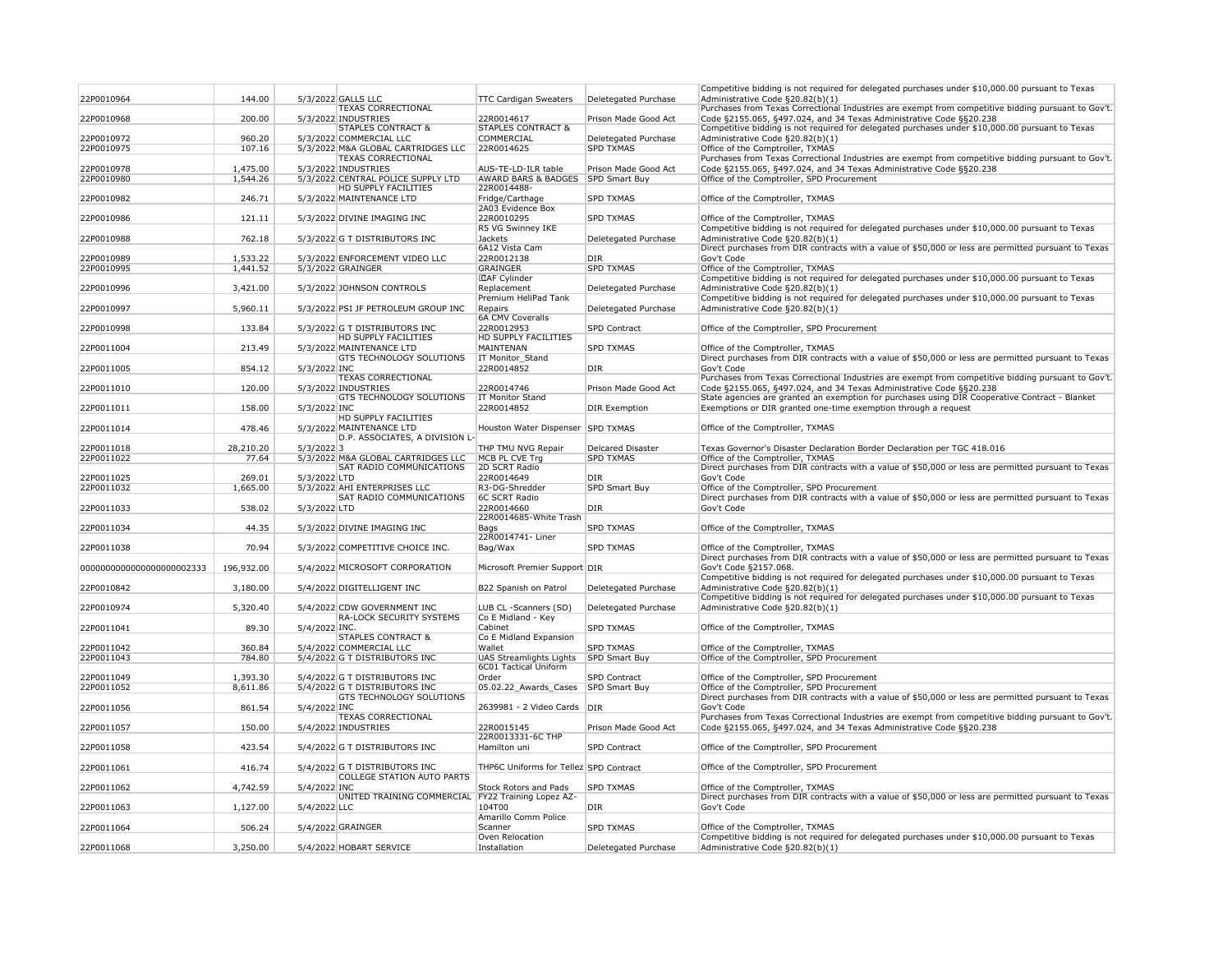|                           |            |               |                                                                       |                                                         |                      | Competitive bidding is not required for delegated purchases under \$10,000.00 pursuant to Texas                                                                            |
|---------------------------|------------|---------------|-----------------------------------------------------------------------|---------------------------------------------------------|----------------------|----------------------------------------------------------------------------------------------------------------------------------------------------------------------------|
| 22P0010964                | 144.00     |               | 5/3/2022 GALLS LLC                                                    | <b>TTC Cardigan Sweaters</b>                            | Deletegated Purchase | Administrative Code §20.82(b)(1)                                                                                                                                           |
|                           |            |               | <b>TEXAS CORRECTIONAL</b>                                             |                                                         |                      | Purchases from Texas Correctional Industries are exempt from competitive bidding pursuant to Gov't.                                                                        |
| 22P0010968                | 200.00     |               | 5/3/2022 INDUSTRIES<br><b>STAPLES CONTRACT &amp;</b>                  | 22R0014617<br><b>STAPLES CONTRACT &amp;</b>             | Prison Made Good Act | Code §2155.065, §497.024, and 34 Texas Administrative Code §§20.238                                                                                                        |
| 22P0010972                | 960.20     |               | 5/3/2022 COMMERCIAL LLC                                               | <b>COMMERCIAL</b>                                       | Deletegated Purchase | Competitive bidding is not required for delegated purchases under \$10,000.00 pursuant to Texas<br>Administrative Code §20.82(b)(1)                                        |
| 22P0010975                | 107.16     |               | 5/3/2022 M&A GLOBAL CARTRIDGES LLC                                    | 22R0014625                                              | <b>SPD TXMAS</b>     | Office of the Comptroller, TXMAS                                                                                                                                           |
|                           |            |               | <b>TEXAS CORRECTIONAL</b>                                             |                                                         |                      | Purchases from Texas Correctional Industries are exempt from competitive bidding pursuant to Gov't.                                                                        |
| 22P0010978                | 1,475.00   |               | 5/3/2022 INDUSTRIES                                                   | AUS-TE-LD-ILR table                                     | Prison Made Good Act | Code §2155.065, §497.024, and 34 Texas Administrative Code §§20.238                                                                                                        |
| 22P0010980                | 1,544.26   |               | 5/3/2022 CENTRAL POLICE SUPPLY LTD<br><b>HD SUPPLY FACILITIES</b>     | <b>AWARD BARS &amp; BADGES</b><br>22R0014488-           | <b>SPD Smart Buy</b> | Office of the Comptroller, SPD Procurement                                                                                                                                 |
| 22P0010982                | 246.71     |               | 5/3/2022 MAINTENANCE LTD                                              | Fridge/Carthage                                         | <b>SPD TXMAS</b>     | Office of the Comptroller, TXMAS                                                                                                                                           |
|                           |            |               |                                                                       | 2A03 Evidence Box                                       |                      |                                                                                                                                                                            |
| 22P0010986                | 121.11     |               | 5/3/2022 DIVINE IMAGING INC                                           | 22R0010295                                              | <b>SPD TXMAS</b>     | Office of the Comptroller, TXMAS                                                                                                                                           |
|                           |            |               |                                                                       | R5 VG Swinney IKE<br><b>Jackets</b>                     |                      | Competitive bidding is not required for delegated purchases under \$10,000.00 pursuant to Texas                                                                            |
| 22P0010988                | 762.18     |               | 5/3/2022 G T DISTRIBUTORS INC                                         | 6A12 Vista Cam                                          | Deletegated Purchase | Administrative Code §20.82(b)(1)<br>Direct purchases from DIR contracts with a value of \$50,000 or less are permitted pursuant to Texas                                   |
| 22P0010989                | 1,533.22   |               | 5/3/2022 ENFORCEMENT VIDEO LLC                                        | 22R0012138                                              | <b>DIR</b>           | Gov't Code                                                                                                                                                                 |
| 22P0010995                | 1,441.52   |               | 5/3/2022 GRAINGER                                                     | GRAINGER                                                | <b>SPD TXMAS</b>     | Office of the Comptroller, TXMAS                                                                                                                                           |
|                           |            |               |                                                                       | <b>CAF</b> Cylinder                                     |                      | Competitive bidding is not required for delegated purchases under \$10,000.00 pursuant to Texas                                                                            |
| 22P0010996                | 3,421.00   |               | 5/3/2022 JOHNSON CONTROLS                                             | Replacement<br>Premium HeliPad Tank                     | Deletegated Purchase | Administrative Code §20.82(b)(1)<br>Competitive bidding is not required for delegated purchases under \$10,000.00 pursuant to Texas                                        |
| 22P0010997                | 5,960.11   |               | 5/3/2022 PSI JF PETROLEUM GROUP INC                                   | Repairs                                                 | Deletegated Purchase | Administrative Code §20.82(b)(1)                                                                                                                                           |
|                           |            |               |                                                                       | <b>6A CMV Coveralls</b>                                 |                      |                                                                                                                                                                            |
| 22P0010998                | 133.84     |               | 5/3/2022 G T DISTRIBUTORS INC                                         | 22R0012953                                              | <b>SPD Contract</b>  | Office of the Comptroller, SPD Procurement                                                                                                                                 |
|                           |            |               | <b>HD SUPPLY FACILITIES</b>                                           | <b>HD SUPPLY FACILITIES</b><br>MAINTENAN                |                      |                                                                                                                                                                            |
| 22P0011004                | 213.49     |               | 5/3/2022 MAINTENANCE LTD<br><b>GTS TECHNOLOGY SOLUTIONS</b>           | <b>IT Monitor_Stand</b>                                 | <b>SPD TXMAS</b>     | Office of the Comptroller, TXMAS<br>Direct purchases from DIR contracts with a value of \$50,000 or less are permitted pursuant to Texas                                   |
| 22P0011005                | 854.12     | 5/3/2022 INC  |                                                                       | 22R0014852                                              | <b>DIR</b>           | Gov't Code                                                                                                                                                                 |
|                           |            |               | <b>TEXAS CORRECTIONAL</b>                                             |                                                         |                      | Purchases from Texas Correctional Industries are exempt from competitive bidding pursuant to Gov't.                                                                        |
| 22P0011010                | 120.00     |               | 5/3/2022 INDUSTRIES                                                   | 22R0014746                                              | Prison Made Good Act | Code §2155.065, §497.024, and 34 Texas Administrative Code §§20.238                                                                                                        |
|                           |            |               | <b>GTS TECHNOLOGY SOLUTIONS</b>                                       | <b>IT Monitor Stand</b>                                 |                      | State agencies are granted an exemption for purchases using DIR Cooperative Contract - Blanket                                                                             |
| 22P0011011                | 158.00     | 5/3/2022 INC  | <b>HD SUPPLY FACILITIES</b>                                           | 22R0014852                                              | <b>DIR Exemption</b> | Exemptions or DIR granted one-time exemption through a request                                                                                                             |
| 22P0011014                | 478.46     |               | 5/3/2022 MAINTENANCE LTD                                              | Houston Water Dispenser SPD TXMAS                       |                      | Office of the Comptroller, TXMAS                                                                                                                                           |
|                           |            |               | D.P. ASSOCIATES, A DIVISION L-                                        |                                                         |                      |                                                                                                                                                                            |
| 22P0011018                | 28,210.20  | $5/3/2022$ 3  |                                                                       | THP TMU NVG Repair                                      | Delcared Disaster    | Texas Governor's Disaster Declaration Border Declaration per TGC 418.016                                                                                                   |
| 22P0011022                | 77.64      |               | 5/3/2022 M&A GLOBAL CARTRIDGES LLC<br><b>SAT RADIO COMMUNICATIONS</b> | MCB PL CVE Trg<br>2D SCRT Radio                         | <b>SPD TXMAS</b>     | Office of the Comptroller, TXMAS<br>Direct purchases from DIR contracts with a value of \$50,000 or less are permitted pursuant to Texas                                   |
| 22P0011025                | 269.01     | 5/3/2022 LTD  |                                                                       | 22R0014649                                              | DIR <sub>.</sub>     | Gov't Code                                                                                                                                                                 |
| 22P0011032                | 1,665.00   |               | 5/3/2022 AHI ENTERPRISES LLC                                          | R3-DG-Shredder                                          | <b>SPD Smart Buy</b> | Office of the Comptroller, SPD Procurement                                                                                                                                 |
|                           |            |               | <b>SAT RADIO COMMUNICATIONS</b>                                       | <b>6C SCRT Radio</b>                                    |                      | Direct purchases from DIR contracts with a value of \$50,000 or less are permitted pursuant to Texas                                                                       |
| 22P0011033                | 538.02     | 5/3/2022 LTD  |                                                                       | 22R0014660<br>22R0014685-White Trash                    | DIR                  | Gov't Code                                                                                                                                                                 |
| 22P0011034                | 44.35      |               | 5/3/2022 DIVINE IMAGING INC                                           | Bags                                                    | <b>SPD TXMAS</b>     | Office of the Comptroller, TXMAS                                                                                                                                           |
|                           |            |               |                                                                       | 22R0014741- Liner                                       |                      |                                                                                                                                                                            |
| 22P0011038                | 70.94      |               | 5/3/2022 COMPETITIVE CHOICE INC.                                      | Bag/Wax                                                 | <b>SPD TXMAS</b>     | Office of the Comptroller, TXMAS                                                                                                                                           |
| 0000000000000000000002333 | 196,932.00 |               | 5/4/2022 MICROSOFT CORPORATION                                        | Microsoft Premier Support DIR                           |                      | Direct purchases from DIR contracts with a value of \$50,000 or less are permitted pursuant to Texas<br>Gov't Code §2157.068.                                              |
|                           |            |               |                                                                       |                                                         |                      | Competitive bidding is not required for delegated purchases under \$10,000.00 pursuant to Texas                                                                            |
| 22P0010842                | 3,180.00   |               | 5/4/2022 DIGITELLIGENT INC                                            | B22 Spanish on Patrol                                   | Deletegated Purchase | Administrative Code §20.82(b)(1)                                                                                                                                           |
|                           |            |               |                                                                       |                                                         |                      | Competitive bidding is not required for delegated purchases under \$10,000.00 pursuant to Texas                                                                            |
| 22P0010974                | 5,320.40   |               | 5/4/2022 CDW GOVERNMENT INC<br><b>RA-LOCK SECURITY SYSTEMS</b>        | LUB CL -Scanners (SD)<br>Co E Midland - Key             | Deletegated Purchase | Administrative Code §20.82(b)(1)                                                                                                                                           |
| 22P0011041                | 89.30      | 5/4/2022 INC. |                                                                       | Cabinet                                                 | <b>SPD TXMAS</b>     | Office of the Comptroller, TXMAS                                                                                                                                           |
|                           |            |               | <b>STAPLES CONTRACT &amp;</b>                                         | Co E Midland Expansion                                  |                      |                                                                                                                                                                            |
| 22P0011042                | 360.84     |               | 5/4/2022 COMMERCIAL LLC                                               | Wallet                                                  | <b>SPD TXMAS</b>     | Office of the Comptroller, TXMAS                                                                                                                                           |
| 22P0011043                | 784.80     |               | 5/4/2022 G T DISTRIBUTORS INC                                         | <b>UAS Streamlights Lights</b><br>6C01 Tactical Uniform | <b>SPD Smart Buy</b> | Office of the Comptroller, SPD Procurement                                                                                                                                 |
| 22P0011049                | 1,393.30   |               | 5/4/2022 G T DISTRIBUTORS INC                                         | Order                                                   | <b>SPD Contract</b>  | Office of the Comptroller, SPD Procurement                                                                                                                                 |
| 22P0011052                | 8,611.86   |               | 5/4/2022 G T DISTRIBUTORS INC                                         | 05.02.22_Awards_Cases                                   | <b>SPD Smart Buy</b> | Office of the Comptroller, SPD Procurement                                                                                                                                 |
|                           |            |               | <b>GTS TECHNOLOGY SOLUTIONS</b>                                       |                                                         |                      | Direct purchases from DIR contracts with a value of \$50,000 or less are permitted pursuant to Texas                                                                       |
| 22P0011056                | 861.54     | 5/4/2022 INC  |                                                                       | 2639981 - 2 Video Cards DIR                             |                      | Gov't Code                                                                                                                                                                 |
| 22P0011057                | 150.00     |               | <b>TEXAS CORRECTIONAL</b><br>5/4/2022 INDUSTRIES                      | 22R0015145                                              | Prison Made Good Act | Purchases from Texas Correctional Industries are exempt from competitive bidding pursuant to Gov't.<br>Code §2155.065, §497.024, and 34 Texas Administrative Code §§20.238 |
|                           |            |               |                                                                       | 22R0013331-6C THP                                       |                      |                                                                                                                                                                            |
| 22P0011058                | 423.54     |               | 5/4/2022 G T DISTRIBUTORS INC                                         | Hamilton uni                                            | <b>SPD Contract</b>  | Office of the Comptroller, SPD Procurement                                                                                                                                 |
|                           |            |               |                                                                       |                                                         |                      |                                                                                                                                                                            |
| 22P0011061                | 416.74     |               | 5/4/2022 G T DISTRIBUTORS INC                                         | THP6C Uniforms for Tellez SPD Contract                  |                      | Office of the Comptroller, SPD Procurement                                                                                                                                 |
| 22P0011062                | 4,742.59   | 5/4/2022 INC  | <b>COLLEGE STATION AUTO PARTS</b>                                     | <b>Stock Rotors and Pads</b>                            | <b>SPD TXMAS</b>     | Office of the Comptroller, TXMAS                                                                                                                                           |
|                           |            |               | UNITED TRAINING COMMERCIAL   FY22 Training Lopez AZ-                  |                                                         |                      | Direct purchases from DIR contracts with a value of \$50,000 or less are permitted pursuant to Texas                                                                       |
| 22P0011063                | 1,127.00   | 5/4/2022 LLC  |                                                                       | 104T00                                                  | DIR <sub>.</sub>     | Gov't Code                                                                                                                                                                 |
|                           |            |               |                                                                       | Amarillo Comm Police                                    |                      |                                                                                                                                                                            |
| 22P0011064                | 506.24     |               | 5/4/2022 GRAINGER                                                     | Scanner<br>Oven Relocation                              | <b>SPD TXMAS</b>     | Office of the Comptroller, TXMAS<br>Competitive bidding is not required for delegated purchases under \$10,000.00 pursuant to Texas                                        |
|                           |            |               |                                                                       |                                                         |                      |                                                                                                                                                                            |
| 22P0011068                | 3,250.00   |               | 5/4/2022 HOBART SERVICE                                               | Installation                                            | Deletegated Purchase | Administrative Code §20.82(b)(1)                                                                                                                                           |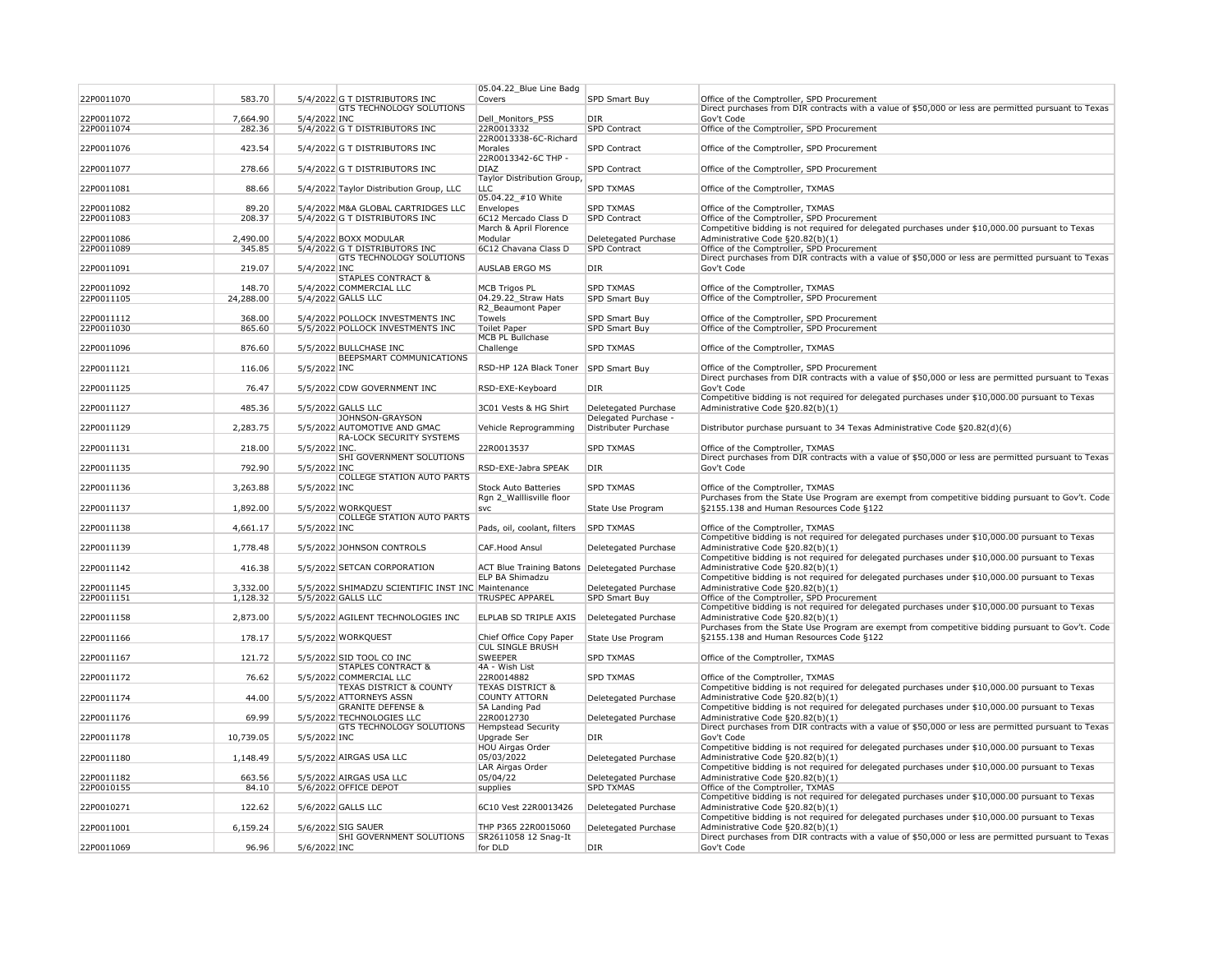|            |           |               |                                                   | 05.04.22_Blue Line Badg                         |                      |                                                                                                      |
|------------|-----------|---------------|---------------------------------------------------|-------------------------------------------------|----------------------|------------------------------------------------------------------------------------------------------|
| 22P0011070 | 583.70    |               | 5/4/2022 G T DISTRIBUTORS INC                     | <b>Covers</b>                                   | SPD Smart Buy        | Office of the Comptroller, SPD Procurement                                                           |
|            |           |               | <b>GTS TECHNOLOGY SOLUTIONS</b>                   |                                                 |                      | Direct purchases from DIR contracts with a value of \$50,000 or less are permitted pursuant to Texas |
| 22P0011072 | 7,664.90  | 5/4/2022 INC  |                                                   | Dell_Monitors_PSS                               | <b>DIR</b>           | Gov't Code                                                                                           |
| 22P0011074 | 282.36    |               | 5/4/2022 G T DISTRIBUTORS INC                     | 22R0013332                                      | <b>SPD Contract</b>  | Office of the Comptroller, SPD Procurement                                                           |
|            |           |               |                                                   | 22R0013338-6C-Richard                           |                      |                                                                                                      |
| 22P0011076 | 423.54    |               | 5/4/2022 G T DISTRIBUTORS INC                     | Morales                                         | <b>SPD Contract</b>  | Office of the Comptroller, SPD Procurement                                                           |
|            |           |               |                                                   | 22R0013342-6C THP -                             |                      |                                                                                                      |
| 22P0011077 | 278.66    |               | 5/4/2022 G T DISTRIBUTORS INC                     | <b>DIAZ</b>                                     | SPD Contract         | Office of the Comptroller, SPD Procurement                                                           |
|            |           |               |                                                   | Taylor Distribution Group,                      |                      |                                                                                                      |
| 22P0011081 | 88.66     |               | 5/4/2022 Taylor Distribution Group, LLC           | <b>LLC</b>                                      | <b>SPD TXMAS</b>     | Office of the Comptroller, TXMAS                                                                     |
|            |           |               |                                                   | 05.04.22_#10 White                              |                      |                                                                                                      |
| 22P0011082 | 89.20     |               | 5/4/2022 M&A GLOBAL CARTRIDGES LLC                | Envelopes                                       | <b>SPD TXMAS</b>     | Office of the Comptroller, TXMAS                                                                     |
| 22P0011083 | 208.37    |               | 5/4/2022 G T DISTRIBUTORS INC                     | 6C12 Mercado Class D                            | <b>SPD Contract</b>  | Office of the Comptroller, SPD Procurement                                                           |
|            |           |               |                                                   | March & April Florence                          |                      | Competitive bidding is not required for delegated purchases under \$10,000.00 pursuant to Texas      |
| 22P0011086 | 2,490.00  |               | 5/4/2022 BOXX MODULAR                             | Modular                                         | Deletegated Purchase | Administrative Code §20.82(b)(1)                                                                     |
| 22P0011089 | 345.85    |               | 5/4/2022 G T DISTRIBUTORS INC                     | 6C12 Chavana Class D                            | <b>SPD Contract</b>  | Office of the Comptroller, SPD Procurement                                                           |
|            |           |               | <b>GTS TECHNOLOGY SOLUTIONS</b>                   |                                                 |                      | Direct purchases from DIR contracts with a value of \$50,000 or less are permitted pursuant to Texas |
| 22P0011091 | 219.07    | 5/4/2022 INC  |                                                   | <b>AUSLAB ERGO MS</b>                           | DIR                  | Gov't Code                                                                                           |
|            |           |               | <b>STAPLES CONTRACT &amp;</b>                     |                                                 |                      |                                                                                                      |
| 22P0011092 | 148.70    |               | 5/4/2022 COMMERCIAL LLC                           | <b>MCB Trigos PL</b>                            | <b>SPD TXMAS</b>     | Office of the Comptroller, TXMAS                                                                     |
| 22P0011105 | 24,288.00 |               | 5/4/2022 GALLS LLC                                | 04.29.22 Straw Hats                             | <b>SPD Smart Buy</b> | Office of the Comptroller, SPD Procurement                                                           |
|            |           |               |                                                   | R2 Beaumont Paper                               |                      |                                                                                                      |
| 22P0011112 | 368.00    |               | 5/4/2022 POLLOCK INVESTMENTS INC                  | Towels                                          | <b>SPD Smart Buy</b> | Office of the Comptroller, SPD Procurement                                                           |
| 22P0011030 | 865.60    |               | 5/5/2022 POLLOCK INVESTMENTS INC                  | <b>Toilet Paper</b>                             | <b>SPD Smart Buy</b> | Office of the Comptroller, SPD Procurement                                                           |
|            |           |               |                                                   | <b>MCB PL Bullchase</b>                         |                      |                                                                                                      |
| 22P0011096 | 876.60    |               | 5/5/2022 BULLCHASE INC                            | Challenge                                       | <b>SPD TXMAS</b>     | Office of the Comptroller, TXMAS                                                                     |
|            |           |               | <b>BEEPSMART COMMUNICATIONS</b>                   |                                                 |                      |                                                                                                      |
| 22P0011121 | 116.06    | 5/5/2022 INC  |                                                   | RSD-HP 12A Black Toner                          | SPD Smart Buy        | Office of the Comptroller, SPD Procurement                                                           |
|            |           |               |                                                   |                                                 |                      | Direct purchases from DIR contracts with a value of \$50,000 or less are permitted pursuant to Texas |
| 22P0011125 | 76.47     |               | 5/5/2022 CDW GOVERNMENT INC                       | RSD-EXE-Keyboard                                | DIR                  | Gov't Code                                                                                           |
|            |           |               |                                                   |                                                 |                      | Competitive bidding is not required for delegated purchases under \$10,000.00 pursuant to Texas      |
| 22P0011127 | 485.36    |               | 5/5/2022 GALLS LLC                                | 3C01 Vests & HG Shirt                           | Deletegated Purchase | Administrative Code §20.82(b)(1)                                                                     |
|            |           |               | JOHNSON-GRAYSON                                   |                                                 | Delegated Purchase - |                                                                                                      |
| 22P0011129 | 2,283.75  |               | 5/5/2022 AUTOMOTIVE AND GMAC                      | Vehicle Reprogramming                           | Distributer Purchase | Distributor purchase pursuant to 34 Texas Administrative Code §20.82(d)(6)                           |
|            |           |               | <b>RA-LOCK SECURITY SYSTEMS</b>                   |                                                 |                      |                                                                                                      |
| 22P0011131 | 218.00    | 5/5/2022 INC. |                                                   | 22R0013537                                      | <b>SPD TXMAS</b>     | Office of the Comptroller, TXMAS                                                                     |
|            |           |               | <b>SHI GOVERNMENT SOLUTIONS</b>                   |                                                 |                      | Direct purchases from DIR contracts with a value of \$50,000 or less are permitted pursuant to Texas |
| 22P0011135 | 792.90    | 5/5/2022 INC  |                                                   | RSD-EXE-Jabra SPEAK                             | <b>DIR</b>           | Gov't Code                                                                                           |
|            |           |               | <b>COLLEGE STATION AUTO PARTS</b>                 |                                                 |                      |                                                                                                      |
| 22P0011136 | 3,263.88  | 5/5/2022 INC  |                                                   | <b>Stock Auto Batteries</b>                     | <b>SPD TXMAS</b>     | Office of the Comptroller, TXMAS                                                                     |
|            |           |               |                                                   | Rgn 2 Walllisville floor                        |                      | Purchases from the State Use Program are exempt from competitive bidding pursuant to Gov't. Code     |
| 22P0011137 | 1,892.00  |               | 5/5/2022 WORKQUEST                                | $ $ svc                                         | State Use Program    | §2155.138 and Human Resources Code §122                                                              |
|            |           |               | <b>COLLEGE STATION AUTO PARTS</b>                 |                                                 |                      |                                                                                                      |
| 22P0011138 | 4,661.17  | 5/5/2022 INC  |                                                   | Pads, oil, coolant, filters                     | <b>SPD TXMAS</b>     | Office of the Comptroller, TXMAS                                                                     |
|            |           |               |                                                   |                                                 |                      | Competitive bidding is not required for delegated purchases under \$10,000.00 pursuant to Texas      |
| 22P0011139 | 1,778.48  |               | 5/5/2022 JOHNSON CONTROLS                         | <b>CAF.Hood Ansul</b>                           | Deletegated Purchase | Administrative Code §20.82(b)(1)                                                                     |
|            |           |               |                                                   |                                                 |                      | Competitive bidding is not required for delegated purchases under \$10,000.00 pursuant to Texas      |
| 22P0011142 | 416.38    |               | 5/5/2022 SETCAN CORPORATION                       | ACT Blue Training Batons   Deletegated Purchase |                      | Administrative Code §20.82(b)(1)                                                                     |
|            |           |               |                                                   | <b>ELP BA Shimadzu</b>                          |                      | Competitive bidding is not required for delegated purchases under \$10,000.00 pursuant to Texas      |
| 22P0011145 | 3,332.00  |               | 5/5/2022 SHIMADZU SCIENTIFIC INST INC Maintenance |                                                 | Deletegated Purchase | Administrative Code §20.82(b)(1)                                                                     |
| 22P0011151 | 1,128.32  |               | 5/5/2022 GALLS LLC                                | <b>TRUSPEC APPAREL</b>                          | <b>SPD Smart Buy</b> | Office of the Comptroller, SPD Procurement                                                           |
|            |           |               |                                                   |                                                 |                      | Competitive bidding is not required for delegated purchases under \$10,000.00 pursuant to Texas      |
| 22P0011158 | 2,873.00  |               | 5/5/2022 AGILENT TECHNOLOGIES INC                 | <b>ELPLAB SD TRIPLE AXIS</b>                    | Deletegated Purchase | Administrative Code §20.82(b)(1)                                                                     |
|            |           |               |                                                   |                                                 |                      | Purchases from the State Use Program are exempt from competitive bidding pursuant to Gov't. Code     |
| 22P0011166 | 178.17    |               | 5/5/2022 WORKQUEST                                | Chief Office Copy Paper                         | State Use Program    | §2155.138 and Human Resources Code §122                                                              |
|            |           |               |                                                   | <b>CUL SINGLE BRUSH</b>                         |                      |                                                                                                      |
| 22P0011167 | 121.72    |               | 5/5/2022 SID TOOL CO INC                          | <b>SWEEPER</b>                                  | <b>SPD TXMAS</b>     | Office of the Comptroller, TXMAS                                                                     |
|            |           |               | <b>STAPLES CONTRACT &amp;</b>                     | 4A - Wish List                                  |                      |                                                                                                      |
| 22P0011172 | 76.62     |               | 5/5/2022 COMMERCIAL LLC                           | 22R0014882                                      | <b>SPD TXMAS</b>     | Office of the Comptroller, TXMAS                                                                     |
|            |           |               | <b>TEXAS DISTRICT &amp; COUNTY</b>                | <b>TEXAS DISTRICT &amp;</b>                     |                      | Competitive bidding is not required for delegated purchases under \$10,000.00 pursuant to Texas      |
| 22P0011174 | 44.00     |               | 5/5/2022 ATTORNEYS ASSN                           | <b>COUNTY ATTORN</b>                            | Deletegated Purchase | Administrative Code §20.82(b)(1)                                                                     |
|            |           |               | <b>GRANITE DEFENSE &amp;</b>                      | 5A Landing Pad                                  |                      | Competitive bidding is not required for delegated purchases under \$10,000.00 pursuant to Texas      |
| 22P0011176 | 69.99     |               | 5/5/2022 TECHNOLOGIES LLC                         | 22R0012730                                      | Deletegated Purchase | Administrative Code §20.82(b)(1)                                                                     |
|            |           |               | <b>GTS TECHNOLOGY SOLUTIONS</b>                   | <b>Hempstead Security</b>                       |                      | Direct purchases from DIR contracts with a value of \$50,000 or less are permitted pursuant to Texas |
| 22P0011178 | 10,739.05 | 5/5/2022 INC  |                                                   | Upgrade Ser                                     | DIR                  | Gov't Code                                                                                           |
|            |           |               |                                                   | <b>HOU Airgas Order</b>                         |                      | Competitive bidding is not required for delegated purchases under \$10,000.00 pursuant to Texas      |
| 22P0011180 | 1,148.49  |               | 5/5/2022 AIRGAS USA LLC                           | 05/03/2022                                      | Deletegated Purchase | Administrative Code §20.82(b)(1)                                                                     |
|            |           |               |                                                   | LAR Airgas Order                                |                      | Competitive bidding is not required for delegated purchases under \$10,000.00 pursuant to Texas      |
| 22P0011182 | 663.56    |               | 5/5/2022 AIRGAS USA LLC                           | 05/04/22                                        | Deletegated Purchase | Administrative Code §20.82(b)(1)                                                                     |
| 22P0010155 | 84.10     |               | 5/6/2022 OFFICE DEPOT                             | supplies                                        | <b>SPD TXMAS</b>     | Office of the Comptroller, TXMAS                                                                     |
|            |           |               |                                                   |                                                 |                      | Competitive bidding is not required for delegated purchases under \$10,000.00 pursuant to Texas      |
| 22P0010271 | 122.62    |               | 5/6/2022 GALLS LLC                                | 6C10 Vest 22R0013426                            | Deletegated Purchase | Administrative Code §20.82(b)(1)                                                                     |
|            |           |               |                                                   |                                                 |                      | Competitive bidding is not required for delegated purchases under \$10,000.00 pursuant to Texas      |
| 22P0011001 | 6,159.24  |               | 5/6/2022 SIG SAUER                                | THP P365 22R0015060                             | Deletegated Purchase | Administrative Code §20.82(b)(1)                                                                     |
|            |           |               | <b>SHI GOVERNMENT SOLUTIONS</b>                   | SR2611058 12 Snag-It                            |                      | Direct purchases from DIR contracts with a value of \$50,000 or less are permitted pursuant to Texas |
| 22P0011069 | 96.96     | 5/6/2022 INC  |                                                   | for DLD                                         | DIR                  | Gov't Code                                                                                           |
|            |           |               |                                                   |                                                 |                      |                                                                                                      |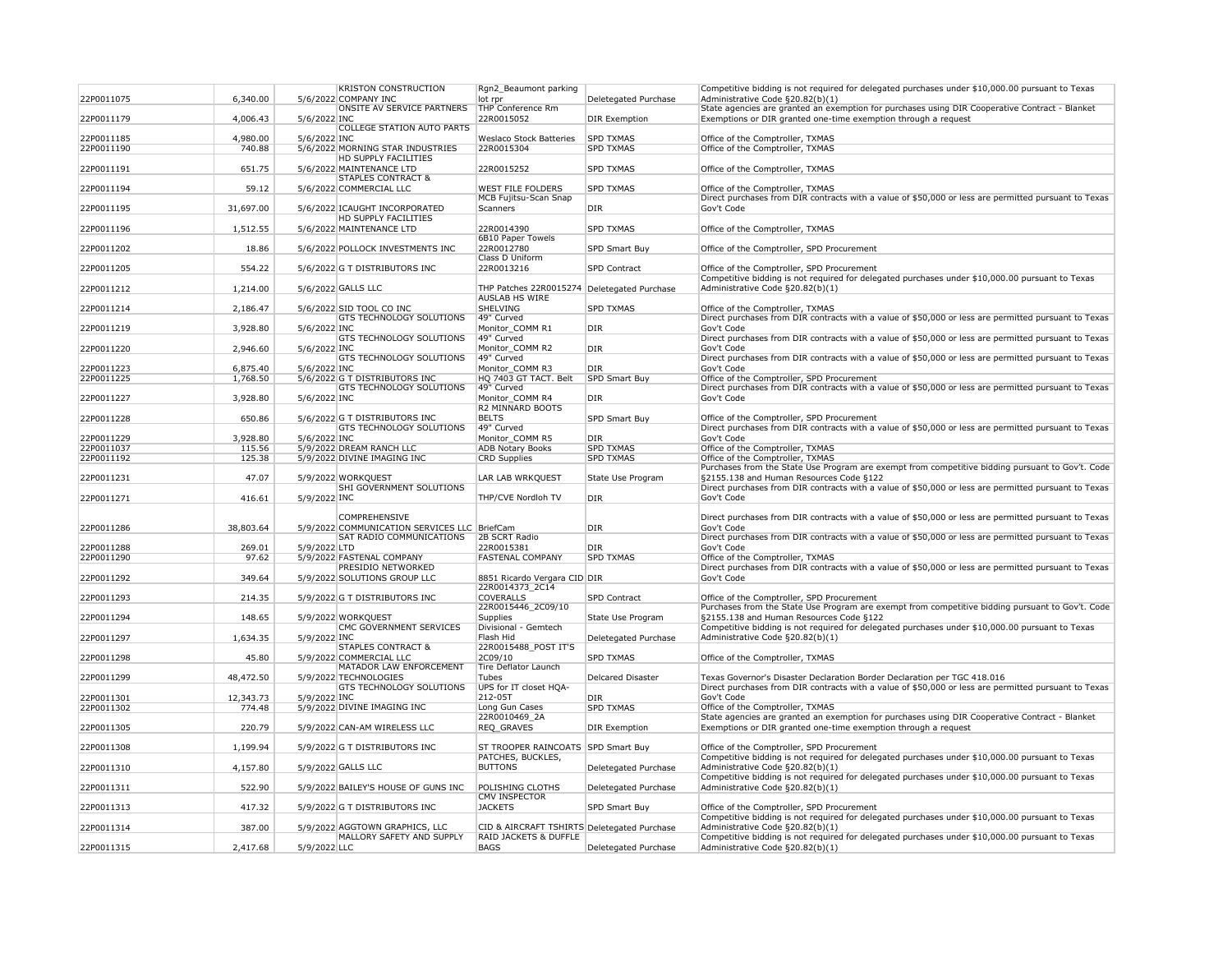| 22P0011075 | 6,340.00  | <b>KRISTON CONSTRUCTION</b><br>5/6/2022 COMPANY INC      | Rgn2_Beaumont parking<br>lot rpr            | Deletegated Purchase | Competitive bidding is not required for delegated purchases under \$10,000.00 pursuant to Texas<br>Administrative Code §20.82(b)(1)                                              |
|------------|-----------|----------------------------------------------------------|---------------------------------------------|----------------------|----------------------------------------------------------------------------------------------------------------------------------------------------------------------------------|
|            |           | <b>ONSITE AV SERVICE PARTNERS</b>                        | <b>THP Conference Rm</b>                    |                      | State agencies are granted an exemption for purchases using DIR Cooperative Contract - Blanket                                                                                   |
| 22P0011179 | 4,006.43  | 5/6/2022 INC                                             | 22R0015052                                  | <b>DIR Exemption</b> | Exemptions or DIR granted one-time exemption through a request                                                                                                                   |
|            |           | <b>COLLEGE STATION AUTO PARTS</b>                        |                                             |                      |                                                                                                                                                                                  |
| 22P0011185 | 4,980.00  | 5/6/2022 INC                                             | <b>Weslaco Stock Batteries</b>              | <b>SPD TXMAS</b>     | Office of the Comptroller, TXMAS                                                                                                                                                 |
| 22P0011190 | 740.88    | 5/6/2022 MORNING STAR INDUSTRIES                         | 22R0015304                                  | <b>SPD TXMAS</b>     | Office of the Comptroller, TXMAS                                                                                                                                                 |
| 22P0011191 | 651.75    | <b>HD SUPPLY FACILITIES</b><br>5/6/2022 MAINTENANCE LTD  | 22R0015252                                  | <b>SPD TXMAS</b>     | Office of the Comptroller, TXMAS                                                                                                                                                 |
|            |           | <b>STAPLES CONTRACT &amp;</b>                            |                                             |                      |                                                                                                                                                                                  |
| 22P0011194 | 59.12     | 5/6/2022 COMMERCIAL LLC                                  | <b>WEST FILE FOLDERS</b>                    | <b>SPD TXMAS</b>     | Office of the Comptroller, TXMAS                                                                                                                                                 |
|            |           |                                                          | <b>MCB Fujitsu-Scan Snap</b>                |                      | Direct purchases from DIR contracts with a value of \$50,000 or less are permitted pursuant to Texas                                                                             |
| 22P0011195 | 31,697.00 | 5/6/2022 ICAUGHT INCORPORATED                            | Scanners                                    | <b>DIR</b>           | Gov't Code                                                                                                                                                                       |
|            |           | <b>HD SUPPLY FACILITIES</b>                              |                                             |                      |                                                                                                                                                                                  |
| 22P0011196 | 1,512.55  | 5/6/2022 MAINTENANCE LTD                                 | 22R0014390                                  | <b>SPD TXMAS</b>     | Office of the Comptroller, TXMAS                                                                                                                                                 |
| 22P0011202 | 18.86     |                                                          | 6B10 Paper Towels<br>22R0012780             | <b>SPD Smart Buy</b> |                                                                                                                                                                                  |
|            |           | 5/6/2022 POLLOCK INVESTMENTS INC                         | <b>Class D Uniform</b>                      |                      | Office of the Comptroller, SPD Procurement                                                                                                                                       |
| 22P0011205 | 554.22    | 5/6/2022 G T DISTRIBUTORS INC                            | 22R0013216                                  | <b>SPD Contract</b>  | Office of the Comptroller, SPD Procurement                                                                                                                                       |
|            |           |                                                          |                                             |                      | Competitive bidding is not required for delegated purchases under \$10,000.00 pursuant to Texas                                                                                  |
| 22P0011212 | 1,214.00  | 5/6/2022 GALLS LLC                                       | THP Patches 22R0015274                      | Deletegated Purchase | Administrative Code §20.82(b)(1)                                                                                                                                                 |
|            |           |                                                          | <b>AUSLAB HS WIRE</b>                       |                      |                                                                                                                                                                                  |
| 22P0011214 | 2,186.47  | 5/6/2022 SID TOOL CO INC                                 | <b>SHELVING</b>                             | <b>SPD TXMAS</b>     | Office of the Comptroller, TXMAS                                                                                                                                                 |
|            |           | <b>GTS TECHNOLOGY SOLUTIONS</b>                          | 49" Curved                                  |                      | Direct purchases from DIR contracts with a value of \$50,000 or less are permitted pursuant to Texas                                                                             |
| 22P0011219 | 3,928.80  | 5/6/2022 INC<br><b>GTS TECHNOLOGY SOLUTIONS</b>          | Monitor_COMM R1<br>49" Curved               | DIR                  | Gov't Code<br>Direct purchases from DIR contracts with a value of \$50,000 or less are permitted pursuant to Texas                                                               |
| 22P0011220 | 2,946.60  | 5/6/2022 INC                                             | Monitor COMM R2                             | <b>DIR</b>           | Gov't Code                                                                                                                                                                       |
|            |           | <b>GTS TECHNOLOGY SOLUTIONS</b>                          | 49" Curved                                  |                      | Direct purchases from DIR contracts with a value of \$50,000 or less are permitted pursuant to Texas                                                                             |
| 22P0011223 | 6,875.40  | 5/6/2022 INC                                             | Monitor COMM R3                             | DIR <sub>.</sub>     | Gov't Code                                                                                                                                                                       |
| 22P0011225 | 1,768.50  | 5/6/2022 G T DISTRIBUTORS INC                            | HQ 7403 GT TACT. Belt                       | SPD Smart Buy        | Office of the Comptroller, SPD Procurement                                                                                                                                       |
|            |           | <b>GTS TECHNOLOGY SOLUTIONS</b>                          | 49" Curved                                  |                      | Direct purchases from DIR contracts with a value of \$50,000 or less are permitted pursuant to Texas                                                                             |
| 22P0011227 | 3,928.80  | 5/6/2022 INC                                             | Monitor COMM R4                             | DIR <sub></sub>      | Gov't Code                                                                                                                                                                       |
|            |           |                                                          | R2 MINNARD BOOTS                            |                      |                                                                                                                                                                                  |
| 22P0011228 | 650.86    | 5/6/2022 G T DISTRIBUTORS INC                            | <b>BELTS</b><br>49" Curved                  | <b>SPD Smart Buy</b> | Office of the Comptroller, SPD Procurement                                                                                                                                       |
| 22P0011229 | 3,928.80  | <b>GTS TECHNOLOGY SOLUTIONS</b><br>5/6/2022 INC          | Monitor_COMM R5                             | DIR                  | Direct purchases from DIR contracts with a value of \$50,000 or less are permitted pursuant to Texas<br>Gov't Code                                                               |
| 22P0011037 | 115.56    | 5/9/2022 DREAM RANCH LLC                                 | <b>ADB Notary Books</b>                     | <b>SPD TXMAS</b>     | Office of the Comptroller, TXMAS                                                                                                                                                 |
| 22P0011192 | 125.38    | 5/9/2022 DIVINE IMAGING INC                              | <b>CRD Supplies</b>                         | <b>SPD TXMAS</b>     | Office of the Comptroller, TXMAS                                                                                                                                                 |
|            |           |                                                          |                                             |                      | Purchases from the State Use Program are exempt from competitive bidding pursuant to Gov't. Code                                                                                 |
| 22P0011231 | 47.07     | 5/9/2022 WORKQUEST                                       | LAR LAB WRKQUEST                            | State Use Program    | §2155.138 and Human Resources Code §122                                                                                                                                          |
|            |           | SHI GOVERNMENT SOLUTIONS                                 |                                             |                      | Direct purchases from DIR contracts with a value of \$50,000 or less are permitted pursuant to Texas                                                                             |
| 22P0011271 | 416.61    | 5/9/2022 INC                                             | THP/CVE Nordloh TV                          | DIR                  | Gov't Code                                                                                                                                                                       |
|            |           | <b>COMPREHENSIVE</b>                                     |                                             |                      | Direct purchases from DIR contracts with a value of \$50,000 or less are permitted pursuant to Texas                                                                             |
| 22P0011286 | 38,803.64 | 5/9/2022 COMMUNICATION SERVICES LLC BriefCam             |                                             | <b>DIR</b>           | Gov't Code                                                                                                                                                                       |
|            |           | <b>SAT RADIO COMMUNICATIONS</b>                          | 2B SCRT Radio                               |                      | Direct purchases from DIR contracts with a value of \$50,000 or less are permitted pursuant to Texas                                                                             |
| 22P0011288 | 269.01    | 5/9/2022 LTD                                             | 22R0015381                                  | <b>DIR</b>           | Gov't Code                                                                                                                                                                       |
| 22P0011290 | 97.62     | 5/9/2022 FASTENAL COMPANY                                | <b>FASTENAL COMPANY</b>                     | <b>SPD TXMAS</b>     | Office of the Comptroller, TXMAS                                                                                                                                                 |
|            |           | <b>PRESIDIO NETWORKED</b>                                |                                             |                      | Direct purchases from DIR contracts with a value of \$50,000 or less are permitted pursuant to Texas                                                                             |
| 22P0011292 | 349.64    | 5/9/2022 SOLUTIONS GROUP LLC                             | 8851 Ricardo Vergara CID DIR                |                      | Gov't Code                                                                                                                                                                       |
| 22P0011293 | 214.35    | 5/9/2022 G T DISTRIBUTORS INC                            | 22R0014373_2C14<br><b>COVERALLS</b>         | <b>SPD Contract</b>  | Office of the Comptroller, SPD Procurement                                                                                                                                       |
|            |           |                                                          | 22R0015446_2C09/10                          |                      | Purchases from the State Use Program are exempt from competitive bidding pursuant to Gov't. Code                                                                                 |
| 22P0011294 | 148.65    | 5/9/2022 WORKQUEST                                       | <b>Supplies</b>                             | State Use Program    | §2155.138 and Human Resources Code §122                                                                                                                                          |
|            |           | <b>CMC GOVERNMENT SERVICES</b>                           | Divisional - Gemtech                        |                      | Competitive bidding is not required for delegated purchases under \$10,000.00 pursuant to Texas                                                                                  |
| 22P0011297 | 1,634.35  | 5/9/2022 INC                                             | Flash Hid                                   | Deletegated Purchase | Administrative Code §20.82(b)(1)                                                                                                                                                 |
|            |           | <b>STAPLES CONTRACT &amp;</b>                            | 22R0015488_POST IT'S                        |                      |                                                                                                                                                                                  |
| 22P0011298 | 45.80     | 5/9/2022 COMMERCIAL LLC                                  | 2C09/10                                     | <b>SPD TXMAS</b>     | Office of the Comptroller, TXMAS                                                                                                                                                 |
|            |           | MATADOR LAW ENFORCEMENT                                  | Tire Deflator Launch                        |                      |                                                                                                                                                                                  |
| 22P0011299 | 48,472.50 | 5/9/2022 TECHNOLOGIES<br><b>GTS TECHNOLOGY SOLUTIONS</b> | Tubes<br>UPS for IT closet HQA-             | Delcared Disaster    | Texas Governor's Disaster Declaration Border Declaration per TGC 418.016<br>Direct purchases from DIR contracts with a value of \$50,000 or less are permitted pursuant to Texas |
| 22P0011301 | 12,343.73 | 5/9/2022 INC                                             | 212-05T                                     | DIR <sub></sub>      | Gov't Code                                                                                                                                                                       |
| 22P0011302 | 774.48    | 5/9/2022 DIVINE IMAGING INC                              | Long Gun Cases                              | <b>SPD TXMAS</b>     | Office of the Comptroller, TXMAS                                                                                                                                                 |
|            |           |                                                          | 22R0010469_2A                               |                      | State agencies are granted an exemption for purchases using DIR Cooperative Contract - Blanket                                                                                   |
| 22P0011305 | 220.79    | 5/9/2022 CAN-AM WIRELESS LLC                             | REQ_GRAVES                                  | <b>DIR Exemption</b> | Exemptions or DIR granted one-time exemption through a request                                                                                                                   |
|            |           |                                                          |                                             |                      |                                                                                                                                                                                  |
| 22P0011308 | 1,199.94  | 5/9/2022 G T DISTRIBUTORS INC                            | ST TROOPER RAINCOATS SPD Smart Buy          |                      | Office of the Comptroller, SPD Procurement                                                                                                                                       |
|            |           |                                                          | PATCHES, BUCKLES,                           |                      | Competitive bidding is not required for delegated purchases under \$10,000.00 pursuant to Texas                                                                                  |
| 22P0011310 | 4,157.80  | 5/9/2022 GALLS LLC                                       | <b>BUTTONS</b>                              | Deletegated Purchase | Administrative Code §20.82(b)(1)<br>Competitive bidding is not required for delegated purchases under \$10,000.00 pursuant to Texas                                              |
| 22P0011311 | 522.90    | 5/9/2022 BAILEY'S HOUSE OF GUNS INC                      | <b>POLISHING CLOTHS</b>                     | Deletegated Purchase | Administrative Code §20.82(b)(1)                                                                                                                                                 |
|            |           |                                                          | <b>CMV INSPECTOR</b>                        |                      |                                                                                                                                                                                  |
| 22P0011313 | 417.32    | 5/9/2022 G T DISTRIBUTORS INC                            | <b>JACKETS</b>                              | SPD Smart Buy        | Office of the Comptroller, SPD Procurement                                                                                                                                       |
|            |           |                                                          |                                             |                      | Competitive bidding is not required for delegated purchases under \$10,000.00 pursuant to Texas                                                                                  |
| 22P0011314 | 387.00    | 5/9/2022 AGGTOWN GRAPHICS, LLC                           | CID & AIRCRAFT TSHIRTS Deletegated Purchase |                      | Administrative Code §20.82(b)(1)                                                                                                                                                 |
|            |           | MALLORY SAFETY AND SUPPLY                                | <b>RAID JACKETS &amp; DUFFLE</b>            |                      | Competitive bidding is not required for delegated purchases under \$10,000.00 pursuant to Texas                                                                                  |
| 22P0011315 | 2,417.68  | 5/9/2022 LLC                                             | <b>BAGS</b>                                 | Deletegated Purchase | Administrative Code §20.82(b)(1)                                                                                                                                                 |